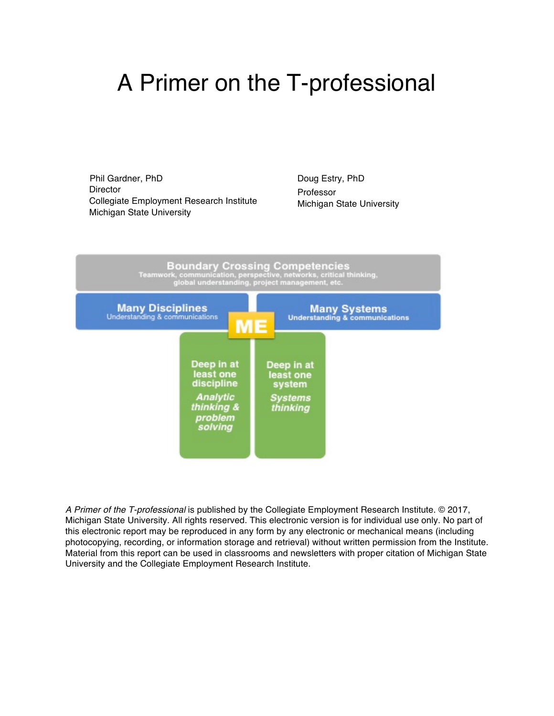# A Primer on the T-professional

Phil Gardner, PhD Director Collegiate Employment Research Institute Michigan State University

Doug Estry, PhD Professor Michigan State University



*A Primer of the T-professional* is published by the Collegiate Employment Research Institute. © 2017, Michigan State University. All rights reserved. This electronic version is for individual use only. No part of this electronic report may be reproduced in any form by any electronic or mechanical means (including photocopying, recording, or information storage and retrieval) without written permission from the Institute. Material from this report can be used in classrooms and newsletters with proper citation of Michigan State University and the Collegiate Employment Research Institute.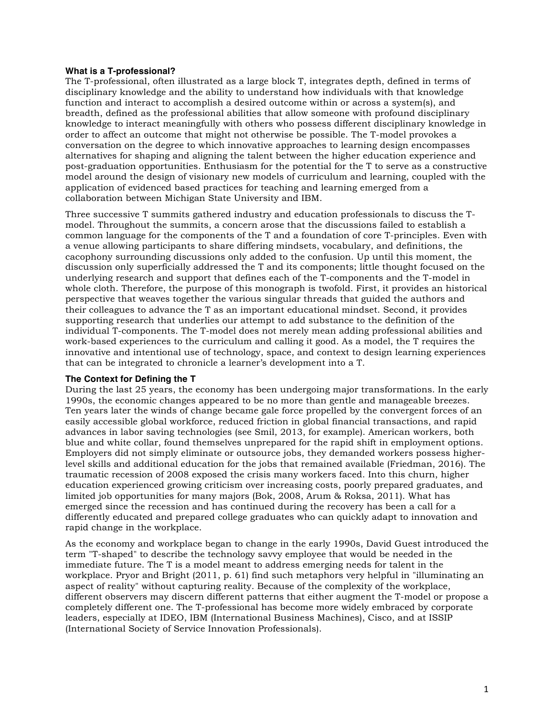#### **What is a T-professional?**

The T-professional, often illustrated as a large block T, integrates depth, defined in terms of disciplinary knowledge and the ability to understand how individuals with that knowledge function and interact to accomplish a desired outcome within or across a system(s), and breadth, defined as the professional abilities that allow someone with profound disciplinary knowledge to interact meaningfully with others who possess different disciplinary knowledge in order to affect an outcome that might not otherwise be possible. The T-model provokes a conversation on the degree to which innovative approaches to learning design encompasses alternatives for shaping and aligning the talent between the higher education experience and post-graduation opportunities. Enthusiasm for the potential for the T to serve as a constructive model around the design of visionary new models of curriculum and learning, coupled with the application of evidenced based practices for teaching and learning emerged from a collaboration between Michigan State University and IBM.

Three successive T summits gathered industry and education professionals to discuss the Tmodel. Throughout the summits, a concern arose that the discussions failed to establish a common language for the components of the T and a foundation of core T-principles. Even with a venue allowing participants to share differing mindsets, vocabulary, and definitions, the cacophony surrounding discussions only added to the confusion. Up until this moment, the discussion only superficially addressed the T and its components; little thought focused on the underlying research and support that defines each of the T-components and the T-model in whole cloth. Therefore, the purpose of this monograph is twofold. First, it provides an historical perspective that weaves together the various singular threads that guided the authors and their colleagues to advance the T as an important educational mindset. Second, it provides supporting research that underlies our attempt to add substance to the definition of the individual T-components. The T-model does not merely mean adding professional abilities and work-based experiences to the curriculum and calling it good. As a model, the T requires the innovative and intentional use of technology, space, and context to design learning experiences that can be integrated to chronicle a learner's development into a T.

#### **The Context for Defining the T**

During the last 25 years, the economy has been undergoing major transformations. In the early 1990s, the economic changes appeared to be no more than gentle and manageable breezes. Ten years later the winds of change became gale force propelled by the convergent forces of an easily accessible global workforce, reduced friction in global financial transactions, and rapid advances in labor saving technologies (see Smil, 2013, for example). American workers, both blue and white collar, found themselves unprepared for the rapid shift in employment options. Employers did not simply eliminate or outsource jobs, they demanded workers possess higherlevel skills and additional education for the jobs that remained available (Friedman, 2016). The traumatic recession of 2008 exposed the crisis many workers faced. Into this churn, higher education experienced growing criticism over increasing costs, poorly prepared graduates, and limited job opportunities for many majors (Bok, 2008, Arum & Roksa, 2011). What has emerged since the recession and has continued during the recovery has been a call for a differently educated and prepared college graduates who can quickly adapt to innovation and rapid change in the workplace.

As the economy and workplace began to change in the early 1990s, David Guest introduced the term "T-shaped" to describe the technology savvy employee that would be needed in the immediate future. The T is a model meant to address emerging needs for talent in the workplace. Pryor and Bright (2011, p. 61) find such metaphors very helpful in "illuminating an aspect of reality" without capturing reality. Because of the complexity of the workplace, different observers may discern different patterns that either augment the T-model or propose a completely different one. The T-professional has become more widely embraced by corporate leaders, especially at IDEO, IBM (International Business Machines), Cisco, and at ISSIP (International Society of Service Innovation Professionals).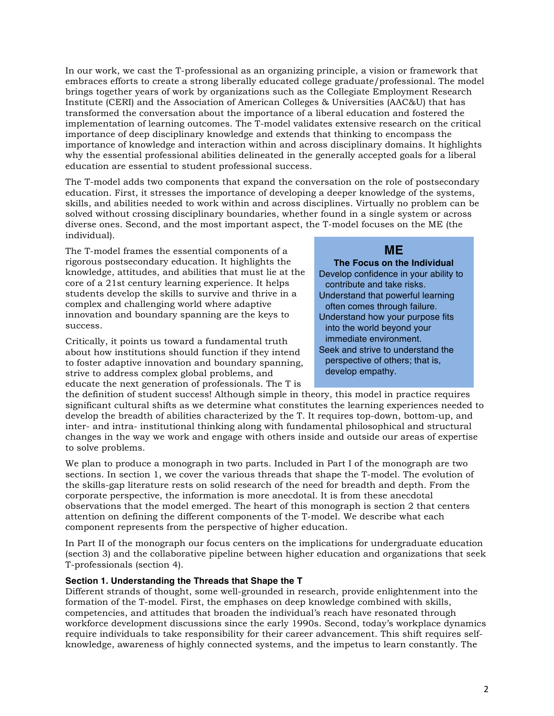In our work, we cast the T-professional as an organizing principle, a vision or framework that embraces efforts to create a strong liberally educated college graduate/professional. The model brings together years of work by organizations such as the Collegiate Employment Research Institute (CERI) and the Association of American Colleges & Universities (AAC&U) that has transformed the conversation about the importance of a liberal education and fostered the implementation of learning outcomes. The T-model validates extensive research on the critical importance of deep disciplinary knowledge and extends that thinking to encompass the importance of knowledge and interaction within and across disciplinary domains. It highlights why the essential professional abilities delineated in the generally accepted goals for a liberal education are essential to student professional success.

The T-model adds two components that expand the conversation on the role of postsecondary education. First, it stresses the importance of developing a deeper knowledge of the systems, skills, and abilities needed to work within and across disciplines. Virtually no problem can be solved without crossing disciplinary boundaries, whether found in a single system or across diverse ones. Second, and the most important aspect, the T-model focuses on the ME (the individual).

The T-model frames the essential components of a rigorous postsecondary education. It highlights the knowledge, attitudes, and abilities that must lie at the core of a 21st century learning experience. It helps students develop the skills to survive and thrive in a complex and challenging world where adaptive innovation and boundary spanning are the keys to success.

Critically, it points us toward a fundamental truth about how institutions should function if they intend to foster adaptive innovation and boundary spanning, strive to address complex global problems, and educate the next generation of professionals. The T is

# **ME**

# **The Focus on the Individual**

Develop confidence in your ability to contribute and take risks. Understand that powerful learning often comes through failure. Understand how your purpose fits into the world beyond your immediate environment. Seek and strive to understand the perspective of others; that is, develop empathy.

the definition of student success! Although simple in theory, this model in practice requires significant cultural shifts as we determine what constitutes the learning experiences needed to develop the breadth of abilities characterized by the T. It requires top-down, bottom-up, and inter- and intra- institutional thinking along with fundamental philosophical and structural changes in the way we work and engage with others inside and outside our areas of expertise to solve problems.

We plan to produce a monograph in two parts. Included in Part I of the monograph are two sections. In section 1, we cover the various threads that shape the T-model. The evolution of the skills-gap literature rests on solid research of the need for breadth and depth. From the corporate perspective, the information is more anecdotal. It is from these anecdotal observations that the model emerged. The heart of this monograph is section 2 that centers attention on defining the different components of the T-model. We describe what each component represents from the perspective of higher education.

In Part II of the monograph our focus centers on the implications for undergraduate education (section 3) and the collaborative pipeline between higher education and organizations that seek T-professionals (section 4).

# **Section 1. Understanding the Threads that Shape the T**

Different strands of thought, some well-grounded in research, provide enlightenment into the formation of the T-model. First, the emphases on deep knowledge combined with skills, competencies, and attitudes that broaden the individual's reach have resonated through workforce development discussions since the early 1990s. Second, today's workplace dynamics require individuals to take responsibility for their career advancement. This shift requires selfknowledge, awareness of highly connected systems, and the impetus to learn constantly. The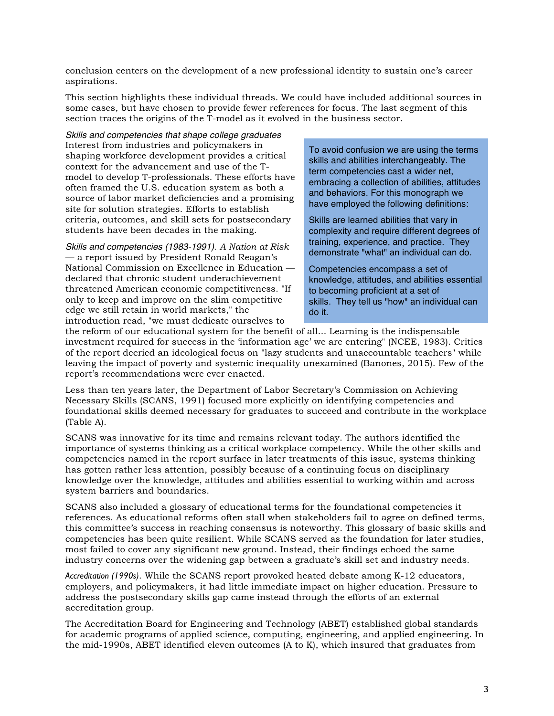conclusion centers on the development of a new professional identity to sustain one's career aspirations.

This section highlights these individual threads. We could have included additional sources in some cases, but have chosen to provide fewer references for focus. The last segment of this section traces the origins of the T-model as it evolved in the business sector.

*Skills and competencies that shape college graduates* Interest from industries and policymakers in shaping workforce development provides a critical context for the advancement and use of the Tmodel to develop T-professionals. These efforts have often framed the U.S. education system as both a source of labor market deficiencies and a promising site for solution strategies. Efforts to establish criteria, outcomes, and skill sets for postsecondary students have been decades in the making.

*Skills and competencies (1983-1991)*. *A Nation at Risk*  — a report issued by President Ronald Reagan's National Commission on Excellence in Education declared that chronic student underachievement threatened American economic competitiveness. "If only to keep and improve on the slim competitive edge we still retain in world markets," the introduction read, "we must dedicate ourselves to

To avoid confusion we are using the terms skills and abilities interchangeably. The term competencies cast a wider net, embracing a collection of abilities, attitudes and behaviors. For this monograph we have employed the following definitions:

Skills are learned abilities that vary in complexity and require different degrees of training, experience, and practice. They demonstrate "what" an individual can do.

Competencies encompass a set of knowledge, attitudes, and abilities essential to becoming proficient at a set of skills. They tell us "how" an individual can do it.

the reform of our educational system for the benefit of all... Learning is the indispensable investment required for success in the 'information age' we are entering" (NCEE, 1983). Critics of the report decried an ideological focus on "lazy students and unaccountable teachers" while leaving the impact of poverty and systemic inequality unexamined (Banones, 2015). Few of the report's recommendations were ever enacted.

Less than ten years later, the Department of Labor Secretary's Commission on Achieving Necessary Skills (SCANS, 1991) focused more explicitly on identifying competencies and foundational skills deemed necessary for graduates to succeed and contribute in the workplace (Table A).

SCANS was innovative for its time and remains relevant today. The authors identified the importance of systems thinking as a critical workplace competency. While the other skills and competencies named in the report surface in later treatments of this issue, systems thinking has gotten rather less attention, possibly because of a continuing focus on disciplinary knowledge over the knowledge, attitudes and abilities essential to working within and across system barriers and boundaries.

SCANS also included a glossary of educational terms for the foundational competencies it references. As educational reforms often stall when stakeholders fail to agree on defined terms, this committee's success in reaching consensus is noteworthy. This glossary of basic skills and competencies has been quite resilient. While SCANS served as the foundation for later studies, most failed to cover any significant new ground. Instead, their findings echoed the same industry concerns over the widening gap between a graduate's skill set and industry needs.

*Accreditation (1990s)*. While the SCANS report provoked heated debate among K-12 educators, employers, and policymakers, it had little immediate impact on higher education. Pressure to address the postsecondary skills gap came instead through the efforts of an external accreditation group.

The Accreditation Board for Engineering and Technology (ABET) established global standards for academic programs of applied science, computing, engineering, and applied engineering. In the mid-1990s, ABET identified eleven outcomes (A to K), which insured that graduates from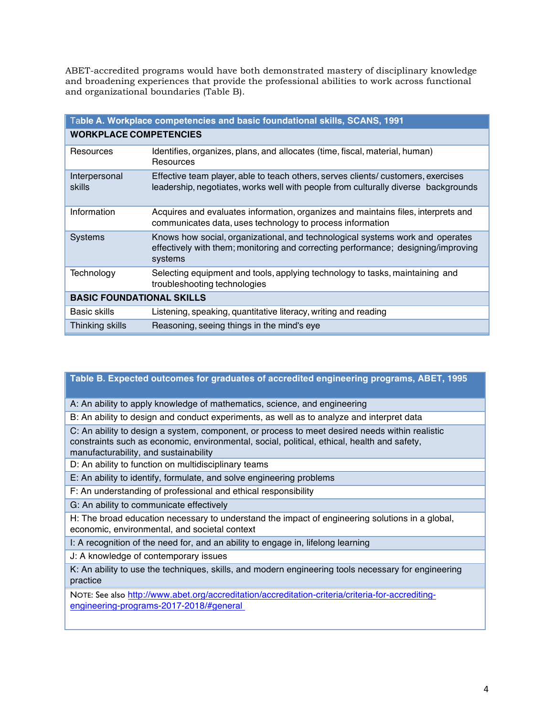ABET-accredited programs would have both demonstrated mastery of disciplinary knowledge and broadening experiences that provide the professional abilities to work across functional and organizational boundaries (Table B).

| Table A. Workplace competencies and basic foundational skills, SCANS, 1991 |                                                                                                                                                                               |  |
|----------------------------------------------------------------------------|-------------------------------------------------------------------------------------------------------------------------------------------------------------------------------|--|
| <b>WORKPLACE COMPETENCIES</b>                                              |                                                                                                                                                                               |  |
| Resources                                                                  | Identifies, organizes, plans, and allocates (time, fiscal, material, human)<br>Resources                                                                                      |  |
| Interpersonal<br>skills                                                    | Effective team player, able to teach others, serves clients/ customers, exercises<br>leadership, negotiates, works well with people from culturally diverse backgrounds       |  |
| Information                                                                | Acquires and evaluates information, organizes and maintains files, interprets and<br>communicates data, uses technology to process information                                |  |
| <b>Systems</b>                                                             | Knows how social, organizational, and technological systems work and operates<br>effectively with them; monitoring and correcting performance; designing/improving<br>systems |  |
| Technology                                                                 | Selecting equipment and tools, applying technology to tasks, maintaining and<br>troubleshooting technologies                                                                  |  |
| <b>BASIC FOUNDATIONAL SKILLS</b>                                           |                                                                                                                                                                               |  |
| Basic skills                                                               | Listening, speaking, quantitative literacy, writing and reading                                                                                                               |  |
| Thinking skills                                                            | Reasoning, seeing things in the mind's eye                                                                                                                                    |  |

# **Table B. Expected outcomes for graduates of accredited engineering programs, ABET, 1995**

A: An ability to apply knowledge of mathematics, science, and engineering

B: An ability to design and conduct experiments, as well as to analyze and interpret data

C: An ability to design a system, component, or process to meet desired needs within realistic constraints such as economic, environmental, social, political, ethical, health and safety, manufacturability, and sustainability

D: An ability to function on multidisciplinary teams

E: An ability to identify, formulate, and solve engineering problems

F: An understanding of professional and ethical responsibility

G: An ability to communicate effectively

H: The broad education necessary to understand the impact of engineering solutions in a global, economic, environmental, and societal context

I: A recognition of the need for, and an ability to engage in, lifelong learning

J: A knowledge of contemporary issues

K: An ability to use the techniques, skills, and modern engineering tools necessary for engineering practice

NOTE: See also http://www.abet.org/accreditation/accreditation-criteria/criteria-for-accreditingengineering-programs-2017-2018/#general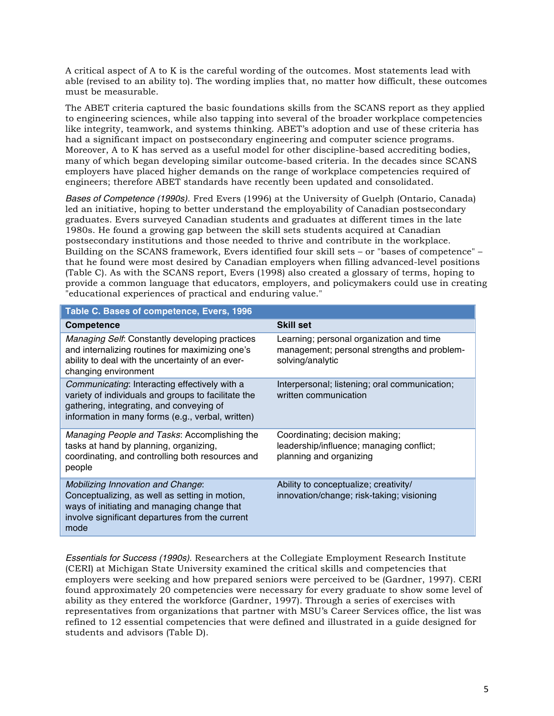A critical aspect of A to K is the careful wording of the outcomes. Most statements lead with able (revised to an ability to). The wording implies that, no matter how difficult, these outcomes must be measurable.

The ABET criteria captured the basic foundations skills from the SCANS report as they applied to engineering sciences, while also tapping into several of the broader workplace competencies like integrity, teamwork, and systems thinking. ABET's adoption and use of these criteria has had a significant impact on postsecondary engineering and computer science programs. Moreover, A to K has served as a useful model for other discipline-based accrediting bodies, many of which began developing similar outcome-based criteria. In the decades since SCANS employers have placed higher demands on the range of workplace competencies required of engineers; therefore ABET standards have recently been updated and consolidated.

*Bases of Competence (1990s)*. Fred Evers (1996) at the University of Guelph (Ontario, Canada) led an initiative, hoping to better understand the employability of Canadian postsecondary graduates. Evers surveyed Canadian students and graduates at different times in the late 1980s. He found a growing gap between the skill sets students acquired at Canadian postsecondary institutions and those needed to thrive and contribute in the workplace. Building on the SCANS framework, Evers identified four skill sets – or "bases of competence" – that he found were most desired by Canadian employers when filling advanced-level positions (Table C). As with the SCANS report, Evers (1998) also created a glossary of terms, hoping to provide a common language that educators, employers, and policymakers could use in creating "educational experiences of practical and enduring value."

| Table C. Bases of competence, Evers, 1996                                                                                                                                                             |                                                                                                             |  |  |
|-------------------------------------------------------------------------------------------------------------------------------------------------------------------------------------------------------|-------------------------------------------------------------------------------------------------------------|--|--|
| <b>Competence</b>                                                                                                                                                                                     | <b>Skill set</b>                                                                                            |  |  |
| Managing Self: Constantly developing practices<br>and internalizing routines for maximizing one's<br>ability to deal with the uncertainty of an ever-<br>changing environment                         | Learning; personal organization and time<br>management; personal strengths and problem-<br>solving/analytic |  |  |
| Communicating: Interacting effectively with a<br>variety of individuals and groups to facilitate the<br>gathering, integrating, and conveying of<br>information in many forms (e.g., verbal, written) | Interpersonal; listening; oral communication;<br>written communication                                      |  |  |
| Managing People and Tasks: Accomplishing the<br>tasks at hand by planning, organizing,<br>coordinating, and controlling both resources and<br>people                                                  | Coordinating; decision making;<br>leadership/influence; managing conflict;<br>planning and organizing       |  |  |
| <b>Mobilizing Innovation and Change:</b><br>Conceptualizing, as well as setting in motion,<br>ways of initiating and managing change that<br>involve significant departures from the current<br>mode  | Ability to conceptualize; creativity/<br>innovation/change; risk-taking; visioning                          |  |  |

*Essentials for Success (1990s)*. Researchers at the Collegiate Employment Research Institute (CERI) at Michigan State University examined the critical skills and competencies that employers were seeking and how prepared seniors were perceived to be (Gardner, 1997). CERI found approximately 20 competencies were necessary for every graduate to show some level of ability as they entered the workforce (Gardner, 1997). Through a series of exercises with representatives from organizations that partner with MSU's Career Services office, the list was refined to 12 essential competencies that were defined and illustrated in a guide designed for students and advisors (Table D).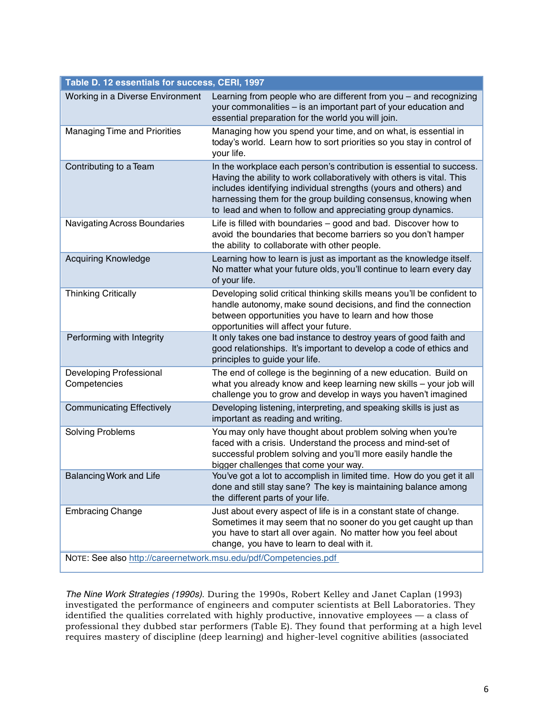| Table D. 12 essentials for success, CERI, 1997                   |                                                                                                                                                                                                                                                                                                                                                    |  |  |  |
|------------------------------------------------------------------|----------------------------------------------------------------------------------------------------------------------------------------------------------------------------------------------------------------------------------------------------------------------------------------------------------------------------------------------------|--|--|--|
| Working in a Diverse Environment                                 | Learning from people who are different from you - and recognizing<br>your commonalities - is an important part of your education and<br>essential preparation for the world you will join.                                                                                                                                                         |  |  |  |
| <b>Managing Time and Priorities</b>                              | Managing how you spend your time, and on what, is essential in<br>today's world. Learn how to sort priorities so you stay in control of<br>your life.                                                                                                                                                                                              |  |  |  |
| Contributing to a Team                                           | In the workplace each person's contribution is essential to success.<br>Having the ability to work collaboratively with others is vital. This<br>includes identifying individual strengths (yours and others) and<br>harnessing them for the group building consensus, knowing when<br>to lead and when to follow and appreciating group dynamics. |  |  |  |
| Navigating Across Boundaries                                     | Life is filled with boundaries - good and bad. Discover how to<br>avoid the boundaries that become barriers so you don't hamper<br>the ability to collaborate with other people.                                                                                                                                                                   |  |  |  |
| <b>Acquiring Knowledge</b>                                       | Learning how to learn is just as important as the knowledge itself.<br>No matter what your future olds, you'll continue to learn every day<br>of your life.                                                                                                                                                                                        |  |  |  |
| <b>Thinking Critically</b>                                       | Developing solid critical thinking skills means you'll be confident to<br>handle autonomy, make sound decisions, and find the connection<br>between opportunities you have to learn and how those<br>opportunities will affect your future.                                                                                                        |  |  |  |
| Performing with Integrity                                        | It only takes one bad instance to destroy years of good faith and<br>good relationships. It's important to develop a code of ethics and<br>principles to guide your life.                                                                                                                                                                          |  |  |  |
| Developing Professional<br>Competencies                          | The end of college is the beginning of a new education. Build on<br>what you already know and keep learning new skills - your job will<br>challenge you to grow and develop in ways you haven't imagined                                                                                                                                           |  |  |  |
| <b>Communicating Effectively</b>                                 | Developing listening, interpreting, and speaking skills is just as<br>important as reading and writing.                                                                                                                                                                                                                                            |  |  |  |
| <b>Solving Problems</b>                                          | You may only have thought about problem solving when you're<br>faced with a crisis. Understand the process and mind-set of<br>successful problem solving and you'll more easily handle the<br>bigger challenges that come your way.                                                                                                                |  |  |  |
| <b>Balancing Work and Life</b>                                   | You've got a lot to accomplish in limited time. How do you get it all<br>done and still stay sane? The key is maintaining balance among<br>the different parts of your life.                                                                                                                                                                       |  |  |  |
| <b>Embracing Change</b>                                          | Just about every aspect of life is in a constant state of change.<br>Sometimes it may seem that no sooner do you get caught up than<br>you have to start all over again. No matter how you feel about<br>change, you have to learn to deal with it.                                                                                                |  |  |  |
| NOTE: See also http://careernetwork.msu.edu/pdf/Competencies.pdf |                                                                                                                                                                                                                                                                                                                                                    |  |  |  |

*The Nine Work Strategies (1990s)*. During the 1990s, Robert Kelley and Janet Caplan (1993) investigated the performance of engineers and computer scientists at Bell Laboratories. They identified the qualities correlated with highly productive, innovative employees — a class of professional they dubbed star performers (Table E). They found that performing at a high level requires mastery of discipline (deep learning) and higher-level cognitive abilities (associated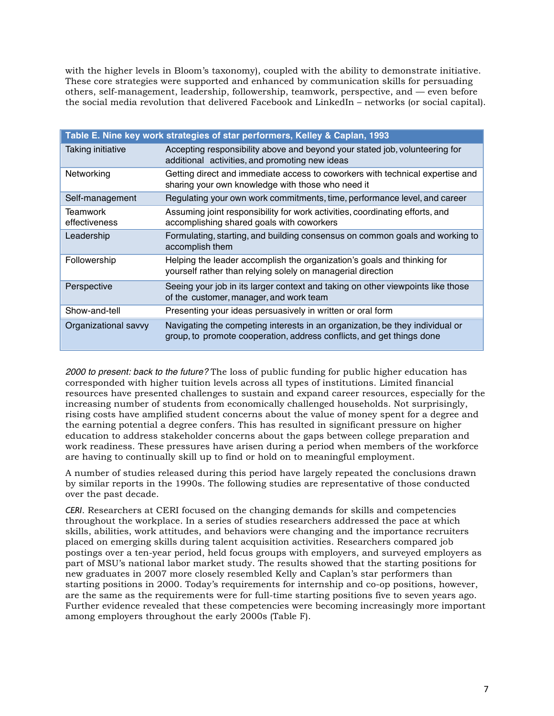with the higher levels in Bloom's taxonomy), coupled with the ability to demonstrate initiative. These core strategies were supported and enhanced by communication skills for persuading others, self-management, leadership, followership, teamwork, perspective, and — even before the social media revolution that delivered Facebook and LinkedIn – networks (or social capital).

| Table E. Nine key work strategies of star performers, Kelley & Caplan, 1993 |                                                                                                                                                       |  |
|-----------------------------------------------------------------------------|-------------------------------------------------------------------------------------------------------------------------------------------------------|--|
| Taking initiative                                                           | Accepting responsibility above and beyond your stated job, volunteering for<br>additional activities, and promoting new ideas                         |  |
| Networking                                                                  | Getting direct and immediate access to coworkers with technical expertise and<br>sharing your own knowledge with those who need it                    |  |
| Self-management                                                             | Regulating your own work commitments, time, performance level, and career                                                                             |  |
| Teamwork<br>effectiveness                                                   | Assuming joint responsibility for work activities, coordinating efforts, and<br>accomplishing shared goals with coworkers                             |  |
| Leadership                                                                  | Formulating, starting, and building consensus on common goals and working to<br>accomplish them                                                       |  |
| Followership                                                                | Helping the leader accomplish the organization's goals and thinking for<br>yourself rather than relying solely on managerial direction                |  |
| Perspective                                                                 | Seeing your job in its larger context and taking on other viewpoints like those<br>of the customer, manager, and work team                            |  |
| Show-and-tell                                                               | Presenting your ideas persuasively in written or oral form                                                                                            |  |
| Organizational savvy                                                        | Navigating the competing interests in an organization, be they individual or<br>group, to promote cooperation, address conflicts, and get things done |  |

*2000 to present: back to the future?* The loss of public funding for public higher education has corresponded with higher tuition levels across all types of institutions. Limited financial resources have presented challenges to sustain and expand career resources, especially for the increasing number of students from economically challenged households. Not surprisingly, rising costs have amplified student concerns about the value of money spent for a degree and the earning potential a degree confers. This has resulted in significant pressure on higher education to address stakeholder concerns about the gaps between college preparation and work readiness. These pressures have arisen during a period when members of the workforce are having to continually skill up to find or hold on to meaningful employment.

A number of studies released during this period have largely repeated the conclusions drawn by similar reports in the 1990s. The following studies are representative of those conducted over the past decade.

*CERI*. Researchers at CERI focused on the changing demands for skills and competencies throughout the workplace. In a series of studies researchers addressed the pace at which skills, abilities, work attitudes, and behaviors were changing and the importance recruiters placed on emerging skills during talent acquisition activities. Researchers compared job postings over a ten-year period, held focus groups with employers, and surveyed employers as part of MSU's national labor market study. The results showed that the starting positions for new graduates in 2007 more closely resembled Kelly and Caplan's star performers than starting positions in 2000. Today's requirements for internship and co-op positions, however, are the same as the requirements were for full-time starting positions five to seven years ago. Further evidence revealed that these competencies were becoming increasingly more important among employers throughout the early 2000s (Table F).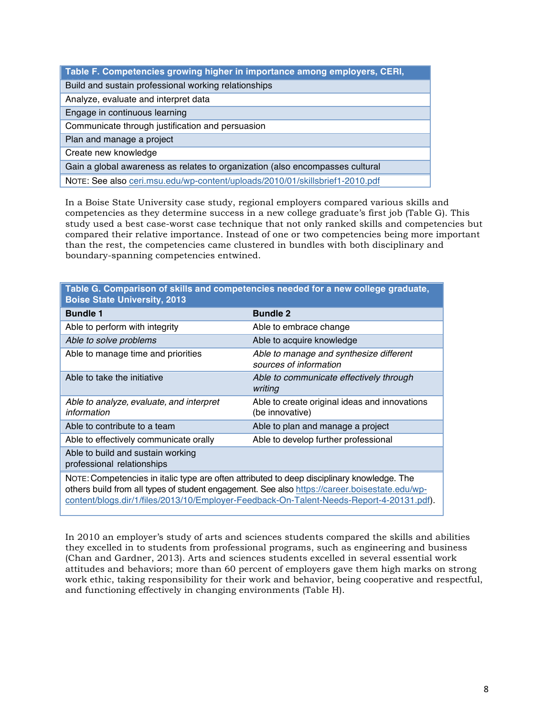| Table F. Competencies growing higher in importance among employers, CERI,     |
|-------------------------------------------------------------------------------|
| Build and sustain professional working relationships                          |
| Analyze, evaluate and interpret data                                          |
| Engage in continuous learning                                                 |
| Communicate through justification and persuasion                              |
| Plan and manage a project                                                     |
| Create new knowledge                                                          |
| Gain a global awareness as relates to organization (also encompasses cultural |
| NOTE: See also ceri.msu.edu/wp-content/uploads/2010/01/skillsbrief1-2010.pdf  |

In a Boise State University case study, regional employers compared various skills and competencies as they determine success in a new college graduate's first job (Table G). This study used a best case-worst case technique that not only ranked skills and competencies but compared their relative importance. Instead of one or two competencies being more important than the rest, the competencies came clustered in bundles with both disciplinary and boundary-spanning competencies entwined.

| Table G. Comparison of skills and competencies needed for a new college graduate,<br><b>Boise State University, 2013</b>                                                                                                                                                                |                                                                   |  |  |
|-----------------------------------------------------------------------------------------------------------------------------------------------------------------------------------------------------------------------------------------------------------------------------------------|-------------------------------------------------------------------|--|--|
| <b>Bundle 1</b>                                                                                                                                                                                                                                                                         | <b>Bundle 2</b>                                                   |  |  |
| Able to perform with integrity                                                                                                                                                                                                                                                          | Able to embrace change                                            |  |  |
| Able to solve problems                                                                                                                                                                                                                                                                  | Able to acquire knowledge                                         |  |  |
| Able to manage time and priorities                                                                                                                                                                                                                                                      | Able to manage and synthesize different<br>sources of information |  |  |
| Able to take the initiative                                                                                                                                                                                                                                                             | Able to communicate effectively through<br>writing                |  |  |
| Able to analyze, evaluate, and interpret<br>information                                                                                                                                                                                                                                 | Able to create original ideas and innovations<br>(be innovative)  |  |  |
| Able to contribute to a team                                                                                                                                                                                                                                                            | Able to plan and manage a project                                 |  |  |
| Able to effectively communicate orally                                                                                                                                                                                                                                                  | Able to develop further professional                              |  |  |
| Able to build and sustain working<br>professional relationships                                                                                                                                                                                                                         |                                                                   |  |  |
| NOTE: Competencies in italic type are often attributed to deep disciplinary knowledge. The<br>others build from all types of student engagement. See also https://career.boisestate.edu/wp-<br>content/blogs.dir/1/files/2013/10/Employer-Feedback-On-Talent-Needs-Report-4-20131.pdf). |                                                                   |  |  |

In 2010 an employer's study of arts and sciences students compared the skills and abilities they excelled in to students from professional programs, such as engineering and business (Chan and Gardner, 2013). Arts and sciences students excelled in several essential work attitudes and behaviors; more than 60 percent of employers gave them high marks on strong work ethic, taking responsibility for their work and behavior, being cooperative and respectful, and functioning effectively in changing environments (Table H).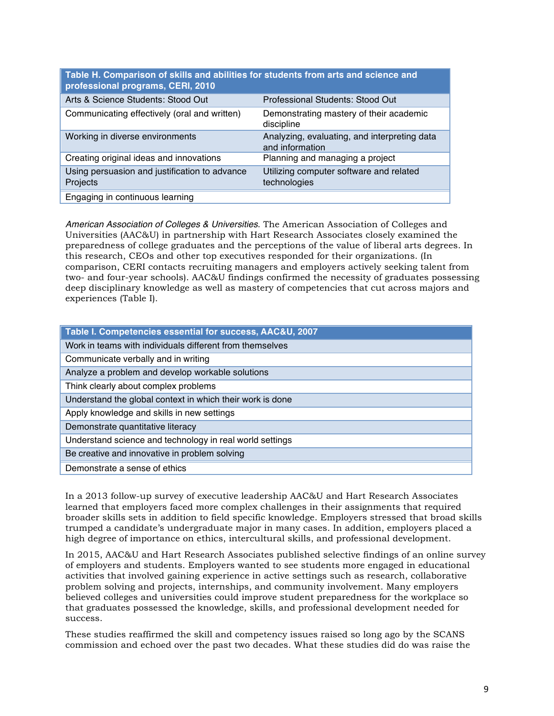| Table H. Comparison of skills and abilities for students from arts and science and<br>professional programs, CERI, 2010 |                                                                 |  |  |
|-------------------------------------------------------------------------------------------------------------------------|-----------------------------------------------------------------|--|--|
| Arts & Science Students: Stood Out                                                                                      | Professional Students: Stood Out                                |  |  |
| Communicating effectively (oral and written)                                                                            | Demonstrating mastery of their academic<br>discipline           |  |  |
| Working in diverse environments                                                                                         | Analyzing, evaluating, and interpreting data<br>and information |  |  |
| Creating original ideas and innovations                                                                                 | Planning and managing a project                                 |  |  |
| Using persuasion and justification to advance<br>Projects                                                               | Utilizing computer software and related<br>technologies         |  |  |
| Engaging in continuous learning                                                                                         |                                                                 |  |  |

*American Association of Colleges & Universities*. The American Association of Colleges and Universities (AAC&U) in partnership with Hart Research Associates closely examined the preparedness of college graduates and the perceptions of the value of liberal arts degrees. In this research, CEOs and other top executives responded for their organizations. (In comparison, CERI contacts recruiting managers and employers actively seeking talent from two- and four-year schools). AAC&U findings confirmed the necessity of graduates possessing deep disciplinary knowledge as well as mastery of competencies that cut across majors and experiences (Table I).

| Table I. Competencies essential for success, AAC&U, 2007  |
|-----------------------------------------------------------|
| Work in teams with individuals different from themselves  |
| Communicate verbally and in writing                       |
| Analyze a problem and develop workable solutions          |
| Think clearly about complex problems                      |
| Understand the global context in which their work is done |
| Apply knowledge and skills in new settings                |
| Demonstrate quantitative literacy                         |
| Understand science and technology in real world settings  |
| Be creative and innovative in problem solving             |
| Demonstrate a sense of ethics                             |

In a 2013 follow-up survey of executive leadership AAC&U and Hart Research Associates learned that employers faced more complex challenges in their assignments that required broader skills sets in addition to field specific knowledge. Employers stressed that broad skills trumped a candidate's undergraduate major in many cases. In addition, employers placed a high degree of importance on ethics, intercultural skills, and professional development.

In 2015, AAC&U and Hart Research Associates published selective findings of an online survey of employers and students. Employers wanted to see students more engaged in educational activities that involved gaining experience in active settings such as research, collaborative problem solving and projects, internships, and community involvement. Many employers believed colleges and universities could improve student preparedness for the workplace so that graduates possessed the knowledge, skills, and professional development needed for success.

These studies reaffirmed the skill and competency issues raised so long ago by the SCANS commission and echoed over the past two decades. What these studies did do was raise the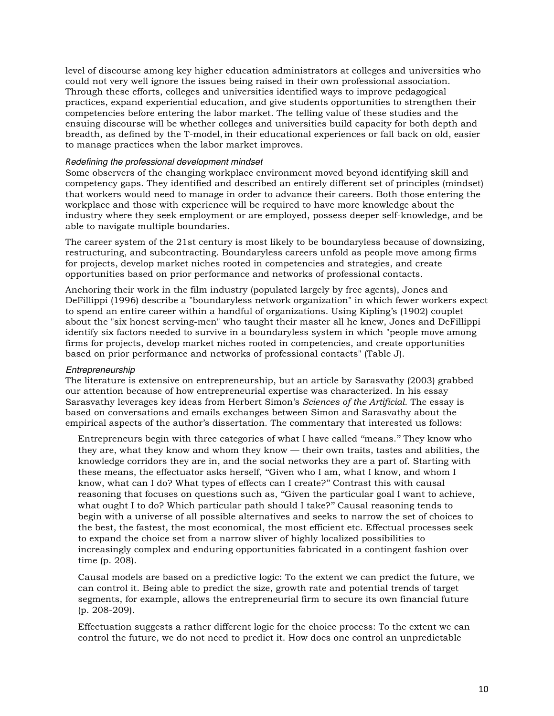level of discourse among key higher education administrators at colleges and universities who could not very well ignore the issues being raised in their own professional association. Through these efforts, colleges and universities identified ways to improve pedagogical practices, expand experiential education, and give students opportunities to strengthen their competencies before entering the labor market. The telling value of these studies and the ensuing discourse will be whether colleges and universities build capacity for both depth and breadth, as defined by the T-model, in their educational experiences or fall back on old, easier to manage practices when the labor market improves.

#### *Redefining the professional development mindset*

Some observers of the changing workplace environment moved beyond identifying skill and competency gaps. They identified and described an entirely different set of principles (mindset) that workers would need to manage in order to advance their careers. Both those entering the workplace and those with experience will be required to have more knowledge about the industry where they seek employment or are employed, possess deeper self-knowledge, and be able to navigate multiple boundaries.

The career system of the 21st century is most likely to be boundaryless because of downsizing, restructuring, and subcontracting. Boundaryless careers unfold as people move among firms for projects, develop market niches rooted in competencies and strategies, and create opportunities based on prior performance and networks of professional contacts.

Anchoring their work in the film industry (populated largely by free agents), Jones and DeFillippi (1996) describe a "boundaryless network organization" in which fewer workers expect to spend an entire career within a handful of organizations. Using Kipling's (1902) couplet about the "six honest serving-men" who taught their master all he knew, Jones and DeFillippi identify six factors needed to survive in a boundaryless system in which "people move among firms for projects, develop market niches rooted in competencies, and create opportunities based on prior performance and networks of professional contacts" (Table J).

#### *Entrepreneurship*

The literature is extensive on entrepreneurship, but an article by Sarasvathy (2003) grabbed our attention because of how entrepreneurial expertise was characterized. In his essay Sarasvathy leverages key ideas from Herbert Simon's *Sciences of the Artificial*. The essay is based on conversations and emails exchanges between Simon and Sarasvathy about the empirical aspects of the author's dissertation. The commentary that interested us follows:

Entrepreneurs begin with three categories of what I have called ''means.'' They know who they are, what they know and whom they know — their own traits, tastes and abilities, the knowledge corridors they are in, and the social networks they are a part of. Starting with these means, the effectuator asks herself, ''Given who I am, what I know, and whom I know, what can I do? What types of effects can I create?'' Contrast this with causal reasoning that focuses on questions such as, ''Given the particular goal I want to achieve, what ought I to do? Which particular path should I take?" Causal reasoning tends to begin with a universe of all possible alternatives and seeks to narrow the set of choices to the best, the fastest, the most economical, the most efficient etc. Effectual processes seek to expand the choice set from a narrow sliver of highly localized possibilities to increasingly complex and enduring opportunities fabricated in a contingent fashion over time (p. 208).

Causal models are based on a predictive logic: To the extent we can predict the future, we can control it. Being able to predict the size, growth rate and potential trends of target segments, for example, allows the entrepreneurial firm to secure its own financial future (p. 208-209).

Effectuation suggests a rather different logic for the choice process: To the extent we can control the future, we do not need to predict it. How does one control an unpredictable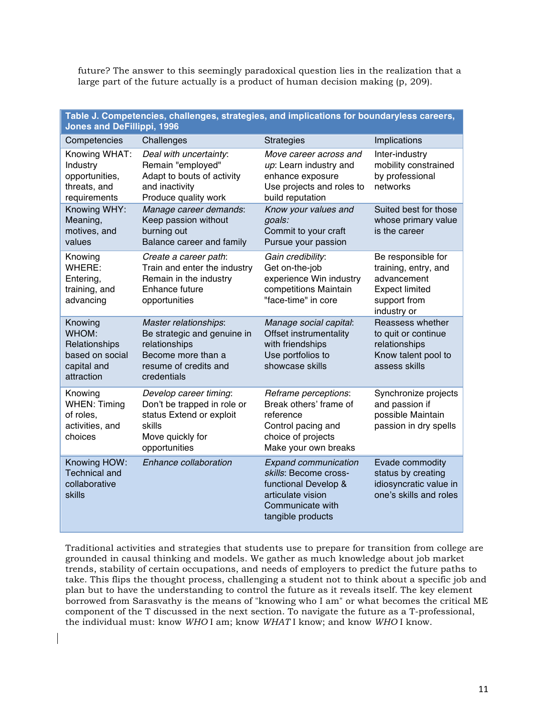future? The answer to this seemingly paradoxical question lies in the realization that a large part of the future actually is a product of human decision making (p, 209).

| Table J. Competencies, challenges, strategies, and implications for boundaryless careers,<br><b>Jones and DeFillippi, 1996</b> |                                                                                                                                     |                                                                                                                                            |                                                                                                                   |
|--------------------------------------------------------------------------------------------------------------------------------|-------------------------------------------------------------------------------------------------------------------------------------|--------------------------------------------------------------------------------------------------------------------------------------------|-------------------------------------------------------------------------------------------------------------------|
| Competencies                                                                                                                   | Challenges                                                                                                                          | <b>Strategies</b>                                                                                                                          | Implications                                                                                                      |
| Knowing WHAT:<br>Industry<br>opportunities,<br>threats, and<br>requirements                                                    | Deal with uncertainty:<br>Remain "employed"<br>Adapt to bouts of activity<br>and inactivity<br>Produce quality work                 | Move career across and<br>up: Learn industry and<br>enhance exposure<br>Use projects and roles to<br>build reputation                      | Inter-industry<br>mobility constrained<br>by professional<br>networks                                             |
| Knowing WHY:<br>Meaning,<br>motives, and<br>values                                                                             | Manage career demands:<br>Keep passion without<br>burning out<br>Balance career and family                                          | Know your values and<br>goals:<br>Commit to your craft<br>Pursue your passion                                                              | Suited best for those<br>whose primary value<br>is the career                                                     |
| Knowing<br>WHERE:<br>Entering,<br>training, and<br>advancing                                                                   | Create a career path:<br>Train and enter the industry<br>Remain in the industry<br>Enhance future<br>opportunities                  | Gain credibility:<br>Get on-the-job<br>experience Win industry<br>competitions Maintain<br>"face-time" in core                             | Be responsible for<br>training, entry, and<br>advancement<br><b>Expect limited</b><br>support from<br>industry or |
| Knowing<br>WHOM:<br>Relationships<br>based on social<br>capital and<br>attraction                                              | Master relationships:<br>Be strategic and genuine in<br>relationships<br>Become more than a<br>resume of credits and<br>credentials | Manage social capital:<br>Offset instrumentality<br>with friendships<br>Use portfolios to<br>showcase skills                               | Reassess whether<br>to quit or continue<br>relationships<br>Know talent pool to<br>assess skills                  |
| Knowing<br><b>WHEN: Timing</b><br>of roles,<br>activities, and<br>choices                                                      | Develop career timing:<br>Don't be trapped in role or<br>status Extend or exploit<br>skills<br>Move quickly for<br>opportunities    | Reframe perceptions:<br>Break others' frame of<br>reference<br>Control pacing and<br>choice of projects<br>Make your own breaks            | Synchronize projects<br>and passion if<br>possible Maintain<br>passion in dry spells                              |
| Knowing HOW:<br><b>Technical and</b><br>collaborative<br>skills                                                                | Enhance collaboration                                                                                                               | <b>Expand communication</b><br>skills: Become cross-<br>functional Develop &<br>articulate vision<br>Communicate with<br>tangible products | Evade commodity<br>status by creating<br>idiosyncratic value in<br>one's skills and roles                         |

Traditional activities and strategies that students use to prepare for transition from college are grounded in causal thinking and models. We gather as much knowledge about job market trends, stability of certain occupations, and needs of employers to predict the future paths to take. This flips the thought process, challenging a student not to think about a specific job and plan but to have the understanding to control the future as it reveals itself. The key element borrowed from Sarasvathy is the means of "knowing who I am" or what becomes the critical ME component of the T discussed in the next section. To navigate the future as a T-professional, the individual must: know *WHO* I am; know *WHAT* I know; and know *WHO* I know.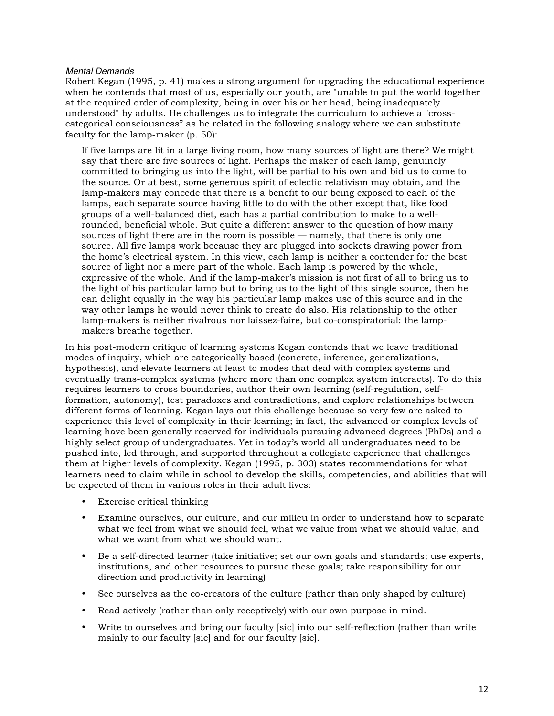#### *Mental Demands*

Robert Kegan (1995, p. 41) makes a strong argument for upgrading the educational experience when he contends that most of us, especially our youth, are "unable to put the world together at the required order of complexity, being in over his or her head, being inadequately understood" by adults. He challenges us to integrate the curriculum to achieve a "crosscategorical consciousness" as he related in the following analogy where we can substitute faculty for the lamp-maker (p. 50):

If five lamps are lit in a large living room, how many sources of light are there? We might say that there are five sources of light. Perhaps the maker of each lamp, genuinely committed to bringing us into the light, will be partial to his own and bid us to come to the source. Or at best, some generous spirit of eclectic relativism may obtain, and the lamp-makers may concede that there is a benefit to our being exposed to each of the lamps, each separate source having little to do with the other except that, like food groups of a well-balanced diet, each has a partial contribution to make to a wellrounded, beneficial whole. But quite a different answer to the question of how many sources of light there are in the room is possible — namely, that there is only one source. All five lamps work because they are plugged into sockets drawing power from the home's electrical system. In this view, each lamp is neither a contender for the best source of light nor a mere part of the whole. Each lamp is powered by the whole, expressive of the whole. And if the lamp-maker's mission is not first of all to bring us to the light of his particular lamp but to bring us to the light of this single source, then he can delight equally in the way his particular lamp makes use of this source and in the way other lamps he would never think to create do also. His relationship to the other lamp-makers is neither rivalrous nor laissez-faire, but co-conspiratorial: the lampmakers breathe together.

In his post-modern critique of learning systems Kegan contends that we leave traditional modes of inquiry, which are categorically based (concrete, inference, generalizations, hypothesis), and elevate learners at least to modes that deal with complex systems and eventually trans-complex systems (where more than one complex system interacts). To do this requires learners to cross boundaries, author their own learning (self-regulation, selfformation, autonomy), test paradoxes and contradictions, and explore relationships between different forms of learning. Kegan lays out this challenge because so very few are asked to experience this level of complexity in their learning; in fact, the advanced or complex levels of learning have been generally reserved for individuals pursuing advanced degrees (PhDs) and a highly select group of undergraduates. Yet in today's world all undergraduates need to be pushed into, led through, and supported throughout a collegiate experience that challenges them at higher levels of complexity. Kegan (1995, p. 303) states recommendations for what learners need to claim while in school to develop the skills, competencies, and abilities that will be expected of them in various roles in their adult lives:

- Exercise critical thinking
- Examine ourselves, our culture, and our milieu in order to understand how to separate what we feel from what we should feel, what we value from what we should value, and what we want from what we should want.
- Be a self-directed learner (take initiative; set our own goals and standards; use experts, institutions, and other resources to pursue these goals; take responsibility for our direction and productivity in learning)
- See ourselves as the co-creators of the culture (rather than only shaped by culture)
- Read actively (rather than only receptively) with our own purpose in mind.
- Write to ourselves and bring our faculty [sic] into our self-reflection (rather than write mainly to our faculty [sic] and for our faculty [sic].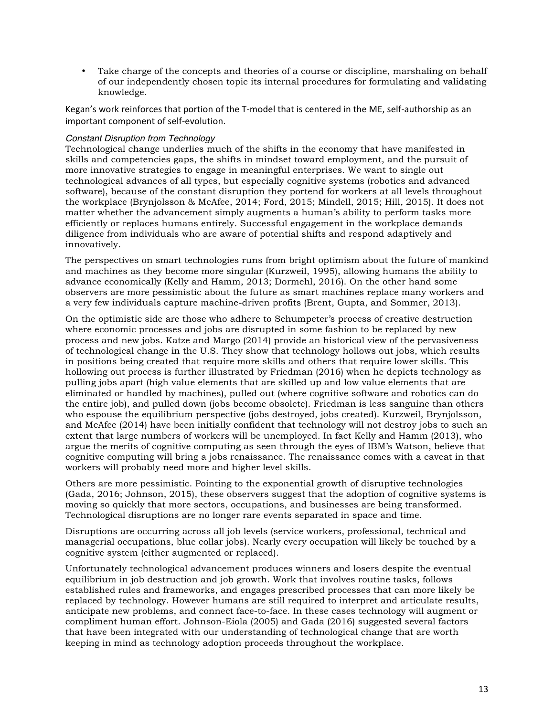• Take charge of the concepts and theories of a course or discipline, marshaling on behalf of our independently chosen topic its internal procedures for formulating and validating knowledge.

Kegan's work reinforces that portion of the T-model that is centered in the ME, self-authorship as an important component of self-evolution.

## *Constant Disruption from Technology*

Technological change underlies much of the shifts in the economy that have manifested in skills and competencies gaps, the shifts in mindset toward employment, and the pursuit of more innovative strategies to engage in meaningful enterprises. We want to single out technological advances of all types, but especially cognitive systems (robotics and advanced software), because of the constant disruption they portend for workers at all levels throughout the workplace (Brynjolsson & McAfee, 2014; Ford, 2015; Mindell, 2015; Hill, 2015). It does not matter whether the advancement simply augments a human's ability to perform tasks more efficiently or replaces humans entirely. Successful engagement in the workplace demands diligence from individuals who are aware of potential shifts and respond adaptively and innovatively.

The perspectives on smart technologies runs from bright optimism about the future of mankind and machines as they become more singular (Kurzweil, 1995), allowing humans the ability to advance economically (Kelly and Hamm, 2013; Dormehl, 2016). On the other hand some observers are more pessimistic about the future as smart machines replace many workers and a very few individuals capture machine-driven profits (Brent, Gupta, and Sommer, 2013).

On the optimistic side are those who adhere to Schumpeter's process of creative destruction where economic processes and jobs are disrupted in some fashion to be replaced by new process and new jobs. Katze and Margo (2014) provide an historical view of the pervasiveness of technological change in the U.S. They show that technology hollows out jobs, which results in positions being created that require more skills and others that require lower skills. This hollowing out process is further illustrated by Friedman (2016) when he depicts technology as pulling jobs apart (high value elements that are skilled up and low value elements that are eliminated or handled by machines), pulled out (where cognitive software and robotics can do the entire job), and pulled down (jobs become obsolete). Friedman is less sanguine than others who espouse the equilibrium perspective (jobs destroyed, jobs created). Kurzweil, Brynjolsson, and McAfee (2014) have been initially confident that technology will not destroy jobs to such an extent that large numbers of workers will be unemployed. In fact Kelly and Hamm (2013), who argue the merits of cognitive computing as seen through the eyes of IBM's Watson, believe that cognitive computing will bring a jobs renaissance. The renaissance comes with a caveat in that workers will probably need more and higher level skills.

Others are more pessimistic. Pointing to the exponential growth of disruptive technologies (Gada, 2016; Johnson, 2015), these observers suggest that the adoption of cognitive systems is moving so quickly that more sectors, occupations, and businesses are being transformed. Technological disruptions are no longer rare events separated in space and time.

Disruptions are occurring across all job levels (service workers, professional, technical and managerial occupations, blue collar jobs). Nearly every occupation will likely be touched by a cognitive system (either augmented or replaced).

Unfortunately technological advancement produces winners and losers despite the eventual equilibrium in job destruction and job growth. Work that involves routine tasks, follows established rules and frameworks, and engages prescribed processes that can more likely be replaced by technology. However humans are still required to interpret and articulate results, anticipate new problems, and connect face-to-face. In these cases technology will augment or compliment human effort. Johnson-Eiola (2005) and Gada (2016) suggested several factors that have been integrated with our understanding of technological change that are worth keeping in mind as technology adoption proceeds throughout the workplace.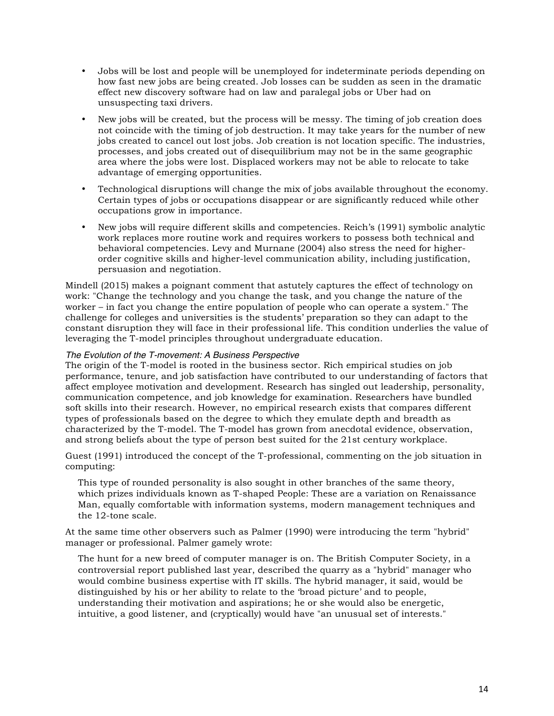- Jobs will be lost and people will be unemployed for indeterminate periods depending on how fast new jobs are being created. Job losses can be sudden as seen in the dramatic effect new discovery software had on law and paralegal jobs or Uber had on unsuspecting taxi drivers.
- New jobs will be created, but the process will be messy. The timing of job creation does not coincide with the timing of job destruction. It may take years for the number of new jobs created to cancel out lost jobs. Job creation is not location specific. The industries, processes, and jobs created out of disequilibrium may not be in the same geographic area where the jobs were lost. Displaced workers may not be able to relocate to take advantage of emerging opportunities.
- Technological disruptions will change the mix of jobs available throughout the economy. Certain types of jobs or occupations disappear or are significantly reduced while other occupations grow in importance.
- New jobs will require different skills and competencies. Reich's (1991) symbolic analytic work replaces more routine work and requires workers to possess both technical and behavioral competencies. Levy and Murnane (2004) also stress the need for higherorder cognitive skills and higher-level communication ability, including justification, persuasion and negotiation.

Mindell (2015) makes a poignant comment that astutely captures the effect of technology on work: "Change the technology and you change the task, and you change the nature of the worker – in fact you change the entire population of people who can operate a system." The challenge for colleges and universities is the students' preparation so they can adapt to the constant disruption they will face in their professional life. This condition underlies the value of leveraging the T-model principles throughout undergraduate education.

# *The Evolution of the T-movement: A Business Perspective*

The origin of the T-model is rooted in the business sector. Rich empirical studies on job performance, tenure, and job satisfaction have contributed to our understanding of factors that affect employee motivation and development. Research has singled out leadership, personality, communication competence, and job knowledge for examination. Researchers have bundled soft skills into their research. However, no empirical research exists that compares different types of professionals based on the degree to which they emulate depth and breadth as characterized by the T-model. The T-model has grown from anecdotal evidence, observation, and strong beliefs about the type of person best suited for the 21st century workplace.

Guest (1991) introduced the concept of the T-professional, commenting on the job situation in computing:

This type of rounded personality is also sought in other branches of the same theory, which prizes individuals known as T-shaped People: These are a variation on Renaissance Man, equally comfortable with information systems, modern management techniques and the 12-tone scale.

At the same time other observers such as Palmer (1990) were introducing the term "hybrid" manager or professional. Palmer gamely wrote:

The hunt for a new breed of computer manager is on. The British Computer Society, in a controversial report published last year, described the quarry as a "hybrid" manager who would combine business expertise with IT skills. The hybrid manager, it said, would be distinguished by his or her ability to relate to the 'broad picture' and to people, understanding their motivation and aspirations; he or she would also be energetic, intuitive, a good listener, and (cryptically) would have "an unusual set of interests."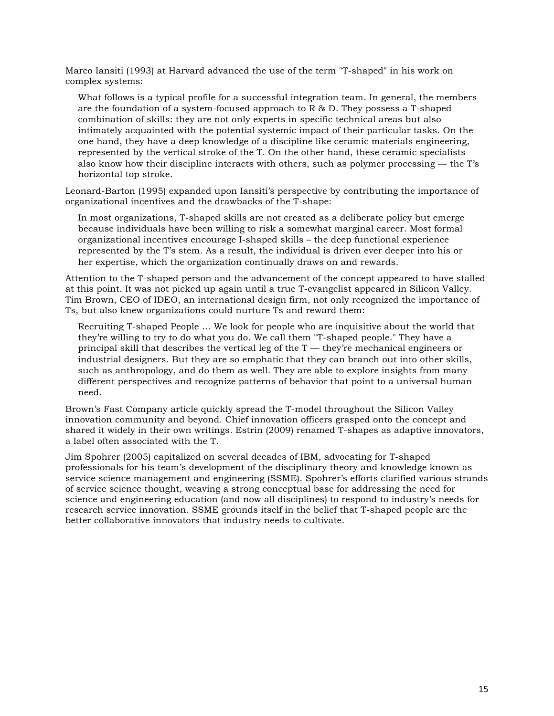Marco Iansiti (1993) at Harvard advanced the use of the term "T-shaped" in his work on complex systems:

What follows is a typical profile for a successful integration team. In general, the members are the foundation of a system-focused approach to  $R \& D$ . They possess a T-shaped combination of skills: they are not only experts in specific technical areas but also intimately acquainted with the potential systemic impact of their particular tasks. On the one hand, they have a deep knowledge of a discipline like ceramic materials engineering, represented by the vertical stroke of the T. On the other hand, these ceramic specialists also know how their discipline interacts with others, such as polymer processing — the T's horizontal top stroke.

Leonard-Barton (1995) expanded upon Iansiti's perspective by contributing the importance of organizational incentives and the drawbacks of the T-shape:

In most organizations, T-shaped skills are not created as a deliberate policy but emerge because individuals have been willing to risk a somewhat marginal career. Most formal organizational incentives encourage I-shaped skills – the deep functional experience represented by the T's stem. As a result, the individual is driven ever deeper into his or her expertise, which the organization continually draws on and rewards.

Attention to the T-shaped person and the advancement of the concept appeared to have stalled at this point. It was not picked up again until a true T-evangelist appeared in Silicon Valley. Tim Brown, CEO of IDEO, an international design firm, not only recognized the importance of Ts, but also knew organizations could nurture Ts and reward them:

Recruiting T-shaped People … We look for people who are inquisitive about the world that they're willing to try to do what you do. We call them "T-shaped people." They have a principal skill that describes the vertical leg of the T — they're mechanical engineers or industrial designers. But they are so emphatic that they can branch out into other skills, such as anthropology, and do them as well. They are able to explore insights from many different perspectives and recognize patterns of behavior that point to a universal human need.

Brown's Fast Company article quickly spread the T-model throughout the Silicon Valley innovation community and beyond. Chief innovation officers grasped onto the concept and shared it widely in their own writings. Estrin (2009) renamed T-shapes as adaptive innovators, a label often associated with the T.

Jim Spohrer (2005) capitalized on several decades of IBM, advocating for T-shaped professionals for his team's development of the disciplinary theory and knowledge known as service science management and engineering (SSME). Spohrer's efforts clarified various strands of service science thought, weaving a strong conceptual base for addressing the need for science and engineering education (and now all disciplines) to respond to industry's needs for research service innovation. SSME grounds itself in the belief that T-shaped people are the better collaborative innovators that industry needs to cultivate.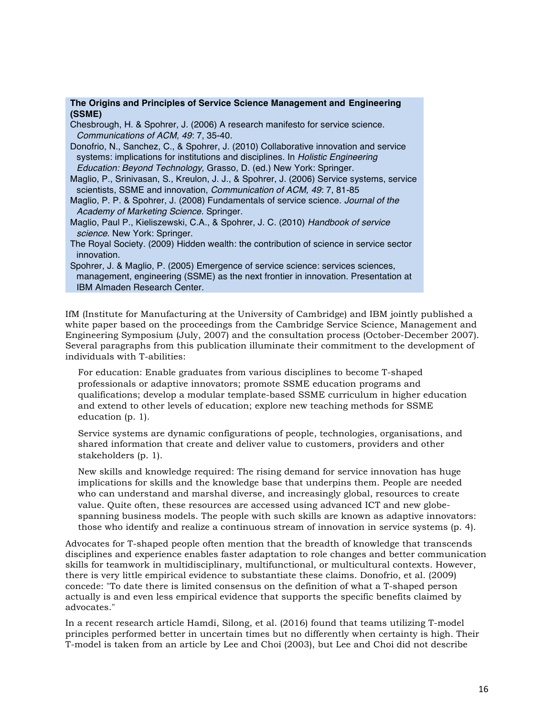#### **The Origins and Principles of Service Science Management and Engineering (SSME)**

Chesbrough, H. & Spohrer, J. (2006) A research manifesto for service science. *Communications of ACM, 49*: 7, 35-40.

Donofrio, N., Sanchez, C., & Spohrer, J. (2010) Collaborative innovation and service systems: implications for institutions and disciplines. In *Holistic Engineering Education: Beyond Technology,* Grasso, D. (ed.) New York: Springer.

Maglio, P., Srinivasan, S., Kreulon, J. J., & Spohrer, J. (2006) Service systems, service scientists, SSME and innovation, *Communication of ACM, 49*: 7, 81-85

- Maglio, P. P. & Spohrer, J. (2008) Fundamentals of service science. *Journal of the Academy of Marketing Science*. Springer.
- Maglio, Paul P., Kieliszewski, C.A., & Spohrer, J. C. (2010) *Handbook of service science*. New York: Springer.
- The Royal Society. (2009) Hidden wealth: the contribution of science in service sector innovation.
- Spohrer, J. & Maglio, P. (2005) Emergence of service science: services sciences, management, engineering (SSME) as the next frontier in innovation. Presentation at IBM Almaden Research Center.

IfM (Institute for Manufacturing at the University of Cambridge) and IBM jointly published a white paper based on the proceedings from the Cambridge Service Science, Management and Engineering Symposium (July, 2007) and the consultation process (October-December 2007). Several paragraphs from this publication illuminate their commitment to the development of individuals with T-abilities:

For education: Enable graduates from various disciplines to become T-shaped professionals or adaptive innovators; promote SSME education programs and qualifications; develop a modular template-based SSME curriculum in higher education and extend to other levels of education; explore new teaching methods for SSME education (p. 1).

Service systems are dynamic configurations of people, technologies, organisations, and shared information that create and deliver value to customers, providers and other stakeholders (p. 1).

New skills and knowledge required: The rising demand for service innovation has huge implications for skills and the knowledge base that underpins them. People are needed who can understand and marshal diverse, and increasingly global, resources to create value. Quite often, these resources are accessed using advanced ICT and new globespanning business models. The people with such skills are known as adaptive innovators: those who identify and realize a continuous stream of innovation in service systems (p. 4).

Advocates for T-shaped people often mention that the breadth of knowledge that transcends disciplines and experience enables faster adaptation to role changes and better communication skills for teamwork in multidisciplinary, multifunctional, or multicultural contexts. However, there is very little empirical evidence to substantiate these claims. Donofrio, et al. (2009) concede: "To date there is limited consensus on the definition of what a T-shaped person actually is and even less empirical evidence that supports the specific benefits claimed by advocates."

In a recent research article Hamdi, Silong, et al. (2016) found that teams utilizing T-model principles performed better in uncertain times but no differently when certainty is high. Their T-model is taken from an article by Lee and Choi (2003), but Lee and Choi did not describe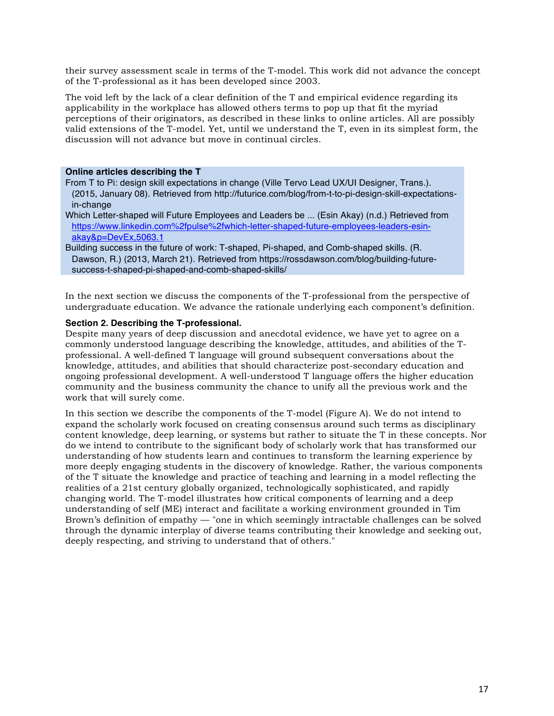their survey assessment scale in terms of the T-model. This work did not advance the concept of the T-professional as it has been developed since 2003.

The void left by the lack of a clear definition of the T and empirical evidence regarding its applicability in the workplace has allowed others terms to pop up that fit the myriad perceptions of their originators, as described in these links to online articles. All are possibly valid extensions of the T-model. Yet, until we understand the T, even in its simplest form, the discussion will not advance but move in continual circles.

#### **Online articles describing the T**

From T to Pi: design skill expectations in change (Ville Tervo Lead UX/UI Designer, Trans.). (2015, January 08). Retrieved from http://futurice.com/blog/from-t-to-pi-design-skill-expectationsin-change

Which Letter-shaped will Future Employees and Leaders be ... (Esin Akay) (n.d.) Retrieved from https://www.linkedin.com%2fpulse%2fwhich-letter-shaped-future-employees-leaders-esinakay&p=DevEx,5063.1

Building success in the future of work: T-shaped, Pi-shaped, and Comb-shaped skills. (R. Dawson, R.) (2013, March 21). Retrieved from https://rossdawson.com/blog/building-futuresuccess-t-shaped-pi-shaped-and-comb-shaped-skills/

In the next section we discuss the components of the T-professional from the perspective of undergraduate education. We advance the rationale underlying each component's definition.

### **Section 2. Describing the T-professional.**

Despite many years of deep discussion and anecdotal evidence, we have yet to agree on a commonly understood language describing the knowledge, attitudes, and abilities of the Tprofessional. A well-defined T language will ground subsequent conversations about the knowledge, attitudes, and abilities that should characterize post-secondary education and ongoing professional development. A well-understood T language offers the higher education community and the business community the chance to unify all the previous work and the work that will surely come.

In this section we describe the components of the T-model (Figure A). We do not intend to expand the scholarly work focused on creating consensus around such terms as disciplinary content knowledge, deep learning, or systems but rather to situate the T in these concepts. Nor do we intend to contribute to the significant body of scholarly work that has transformed our understanding of how students learn and continues to transform the learning experience by more deeply engaging students in the discovery of knowledge. Rather, the various components of the T situate the knowledge and practice of teaching and learning in a model reflecting the realities of a 21st century globally organized, technologically sophisticated, and rapidly changing world. The T-model illustrates how critical components of learning and a deep understanding of self (ME) interact and facilitate a working environment grounded in Tim Brown's definition of empathy — "one in which seemingly intractable challenges can be solved through the dynamic interplay of diverse teams contributing their knowledge and seeking out, deeply respecting, and striving to understand that of others."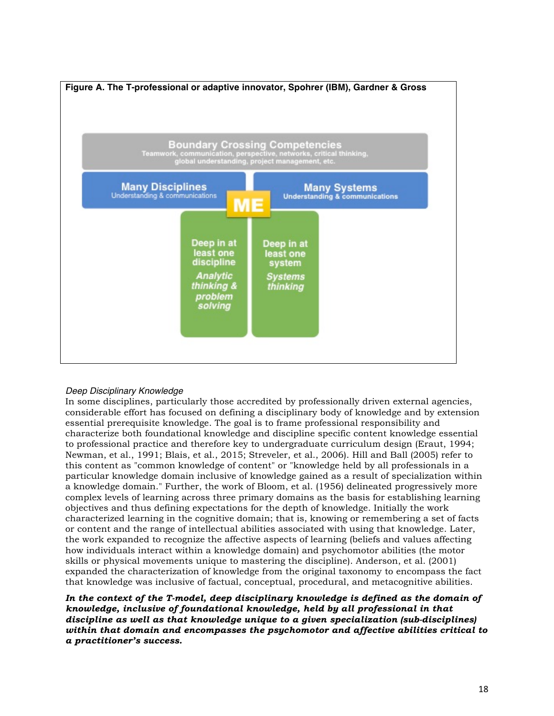

# *Deep Disciplinary Knowledge*

In some disciplines, particularly those accredited by professionally driven external agencies, considerable effort has focused on defining a disciplinary body of knowledge and by extension essential prerequisite knowledge. The goal is to frame professional responsibility and characterize both foundational knowledge and discipline specific content knowledge essential to professional practice and therefore key to undergraduate curriculum design (Eraut, 1994; Newman, et al., 1991; Blais, et al., 2015; Streveler, et al., 2006). Hill and Ball (2005) refer to this content as "common knowledge of content" or "knowledge held by all professionals in a particular knowledge domain inclusive of knowledge gained as a result of specialization within a knowledge domain." Further, the work of Bloom, et al. (1956) delineated progressively more complex levels of learning across three primary domains as the basis for establishing learning objectives and thus defining expectations for the depth of knowledge. Initially the work characterized learning in the cognitive domain; that is, knowing or remembering a set of facts or content and the range of intellectual abilities associated with using that knowledge. Later, the work expanded to recognize the affective aspects of learning (beliefs and values affecting how individuals interact within a knowledge domain) and psychomotor abilities (the motor skills or physical movements unique to mastering the discipline). Anderson, et al. (2001) expanded the characterization of knowledge from the original taxonomy to encompass the fact that knowledge was inclusive of factual, conceptual, procedural, and metacognitive abilities.

In the context of the T-model, deep disciplinary knowledge is defined as the domain of *knowledge, inclusive of foundational knowledge, held by all professional in that discipline as well as that knowledge unique to a given specialization (sub-disciplines) within that domain and encompasses the psychomotor and affective abilities critical to a practitioner's success.*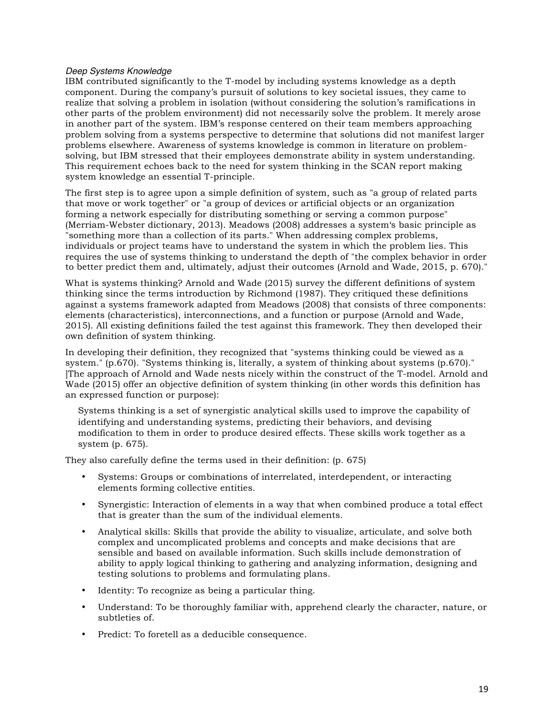#### *Deep Systems Knowledge*

IBM contributed significantly to the T-model by including systems knowledge as a depth component. During the company's pursuit of solutions to key societal issues, they came to realize that solving a problem in isolation (without considering the solution's ramifications in other parts of the problem environment) did not necessarily solve the problem. It merely arose in another part of the system. IBM's response centered on their team members approaching problem solving from a systems perspective to determine that solutions did not manifest larger problems elsewhere. Awareness of systems knowledge is common in literature on problemsolving, but IBM stressed that their employees demonstrate ability in system understanding. This requirement echoes back to the need for system thinking in the SCAN report making system knowledge an essential T-principle.

The first step is to agree upon a simple definition of system, such as "a group of related parts that move or work together" or "a group of devices or artificial objects or an organization forming a network especially for distributing something or serving a common purpose" (Merriam-Webster dictionary, 2013). Meadows (2008) addresses a system's basic principle as "something more than a collection of its parts." When addressing complex problems, individuals or project teams have to understand the system in which the problem lies. This requires the use of systems thinking to understand the depth of "the complex behavior in order to better predict them and, ultimately, adjust their outcomes (Arnold and Wade, 2015, p. 670)."

What is systems thinking? Arnold and Wade (2015) survey the different definitions of system thinking since the terms introduction by Richmond (1987). They critiqued these definitions against a systems framework adapted from Meadows (2008) that consists of three components: elements (characteristics), interconnections, and a function or purpose (Arnold and Wade, 2015). All existing definitions failed the test against this framework. They then developed their own definition of system thinking.

In developing their definition, they recognized that "systems thinking could be viewed as a system." (p.670). "Systems thinking is, literally, a system of thinking about systems (p.670)." ]The approach of Arnold and Wade nests nicely within the construct of the T-model. Arnold and Wade (2015) offer an objective definition of system thinking (in other words this definition has an expressed function or purpose):

Systems thinking is a set of synergistic analytical skills used to improve the capability of identifying and understanding systems, predicting their behaviors, and devising modification to them in order to produce desired effects. These skills work together as a system (p. 675).

They also carefully define the terms used in their definition: (p. 675)

- Systems: Groups or combinations of interrelated, interdependent, or interacting elements forming collective entities.
- Synergistic: Interaction of elements in a way that when combined produce a total effect that is greater than the sum of the individual elements.
- Analytical skills: Skills that provide the ability to visualize, articulate, and solve both complex and uncomplicated problems and concepts and make decisions that are sensible and based on available information. Such skills include demonstration of ability to apply logical thinking to gathering and analyzing information, designing and testing solutions to problems and formulating plans.
- Identity: To recognize as being a particular thing.
- Understand: To be thoroughly familiar with, apprehend clearly the character, nature, or subtleties of.
- Predict: To foretell as a deducible consequence.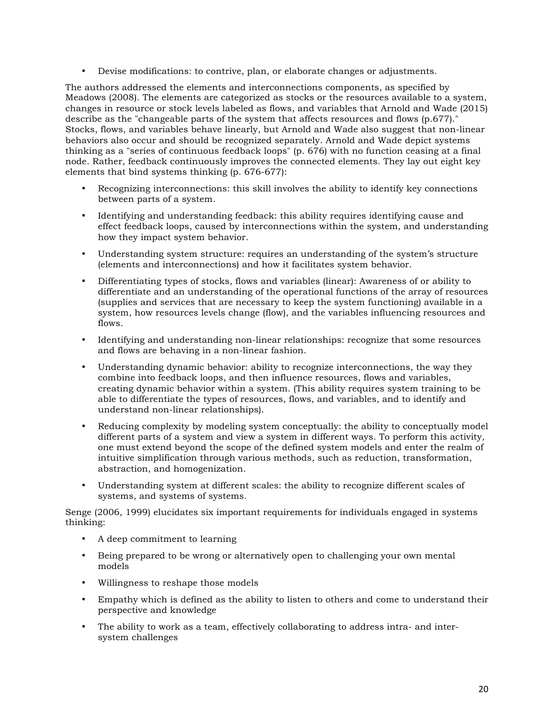• Devise modifications: to contrive, plan, or elaborate changes or adjustments.

The authors addressed the elements and interconnections components, as specified by Meadows (2008). The elements are categorized as stocks or the resources available to a system, changes in resource or stock levels labeled as flows, and variables that Arnold and Wade (2015) describe as the "changeable parts of the system that affects resources and flows (p.677)." Stocks, flows, and variables behave linearly, but Arnold and Wade also suggest that non-linear behaviors also occur and should be recognized separately. Arnold and Wade depict systems thinking as a "series of continuous feedback loops" (p. 676) with no function ceasing at a final node. Rather, feedback continuously improves the connected elements. They lay out eight key elements that bind systems thinking (p. 676-677):

- Recognizing interconnections: this skill involves the ability to identify key connections between parts of a system.
- Identifying and understanding feedback: this ability requires identifying cause and effect feedback loops, caused by interconnections within the system, and understanding how they impact system behavior.
- Understanding system structure: requires an understanding of the system's structure (elements and interconnections) and how it facilitates system behavior.
- Differentiating types of stocks, flows and variables (linear): Awareness of or ability to differentiate and an understanding of the operational functions of the array of resources (supplies and services that are necessary to keep the system functioning) available in a system, how resources levels change (flow), and the variables influencing resources and flows.
- Identifying and understanding non-linear relationships: recognize that some resources and flows are behaving in a non-linear fashion.
- Understanding dynamic behavior: ability to recognize interconnections, the way they combine into feedback loops, and then influence resources, flows and variables, creating dynamic behavior within a system. (This ability requires system training to be able to differentiate the types of resources, flows, and variables, and to identify and understand non-linear relationships).
- Reducing complexity by modeling system conceptually: the ability to conceptually model different parts of a system and view a system in different ways. To perform this activity, one must extend beyond the scope of the defined system models and enter the realm of intuitive simplification through various methods, such as reduction, transformation, abstraction, and homogenization.
- Understanding system at different scales: the ability to recognize different scales of systems, and systems of systems.

Senge (2006, 1999) elucidates six important requirements for individuals engaged in systems thinking:

- A deep commitment to learning
- Being prepared to be wrong or alternatively open to challenging your own mental models
- Willingness to reshape those models
- Empathy which is defined as the ability to listen to others and come to understand their perspective and knowledge
- The ability to work as a team, effectively collaborating to address intra- and intersystem challenges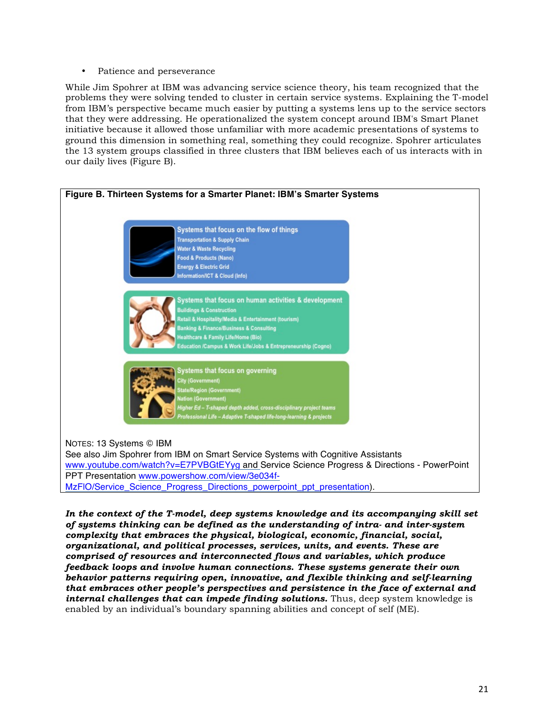• Patience and perseverance

While Jim Spohrer at IBM was advancing service science theory, his team recognized that the problems they were solving tended to cluster in certain service systems. Explaining the T-model from IBM's perspective became much easier by putting a systems lens up to the service sectors that they were addressing. He operationalized the system concept around IBM's Smart Planet initiative because it allowed those unfamiliar with more academic presentations of systems to ground this dimension in something real, something they could recognize. Spohrer articulates the 13 system groups classified in three clusters that IBM believes each of us interacts with in our daily lives (Figure B).



*In the context of the T-model, deep systems knowledge and its accompanying skill set of systems thinking can be defined as the understanding of intra- and inter-system complexity that embraces the physical, biological, economic, financial, social, organizational, and political processes, services, units, and events. These are comprised of resources and interconnected flows and variables, which produce feedback loops and involve human connections. These systems generate their own behavior patterns requiring open, innovative, and flexible thinking and self-learning that embraces other people's perspectives and persistence in the face of external and internal challenges that can impede finding solutions.* Thus, deep system knowledge is enabled by an individual's boundary spanning abilities and concept of self (ME).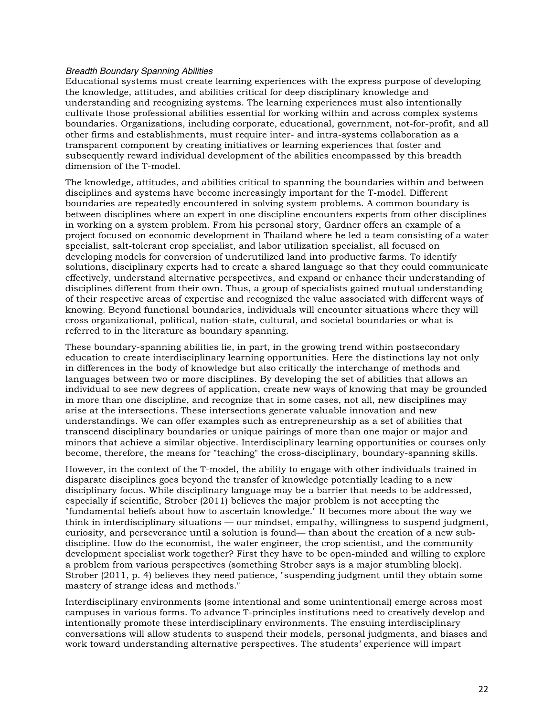#### *Breadth Boundary Spanning Abilities*

Educational systems must create learning experiences with the express purpose of developing the knowledge, attitudes, and abilities critical for deep disciplinary knowledge and understanding and recognizing systems. The learning experiences must also intentionally cultivate those professional abilities essential for working within and across complex systems boundaries. Organizations, including corporate, educational, government, not-for-profit, and all other firms and establishments, must require inter- and intra-systems collaboration as a transparent component by creating initiatives or learning experiences that foster and subsequently reward individual development of the abilities encompassed by this breadth dimension of the T-model.

The knowledge, attitudes, and abilities critical to spanning the boundaries within and between disciplines and systems have become increasingly important for the T-model. Different boundaries are repeatedly encountered in solving system problems. A common boundary is between disciplines where an expert in one discipline encounters experts from other disciplines in working on a system problem. From his personal story, Gardner offers an example of a project focused on economic development in Thailand where he led a team consisting of a water specialist, salt-tolerant crop specialist, and labor utilization specialist, all focused on developing models for conversion of underutilized land into productive farms. To identify solutions, disciplinary experts had to create a shared language so that they could communicate effectively, understand alternative perspectives, and expand or enhance their understanding of disciplines different from their own. Thus, a group of specialists gained mutual understanding of their respective areas of expertise and recognized the value associated with different ways of knowing. Beyond functional boundaries, individuals will encounter situations where they will cross organizational, political, nation-state, cultural, and societal boundaries or what is referred to in the literature as boundary spanning.

These boundary-spanning abilities lie, in part, in the growing trend within postsecondary education to create interdisciplinary learning opportunities. Here the distinctions lay not only in differences in the body of knowledge but also critically the interchange of methods and languages between two or more disciplines. By developing the set of abilities that allows an individual to see new degrees of application, create new ways of knowing that may be grounded in more than one discipline, and recognize that in some cases, not all, new disciplines may arise at the intersections. These intersections generate valuable innovation and new understandings. We can offer examples such as entrepreneurship as a set of abilities that transcend disciplinary boundaries or unique pairings of more than one major or major and minors that achieve a similar objective. Interdisciplinary learning opportunities or courses only become, therefore, the means for "teaching" the cross-disciplinary, boundary-spanning skills.

However, in the context of the T-model, the ability to engage with other individuals trained in disparate disciplines goes beyond the transfer of knowledge potentially leading to a new disciplinary focus. While disciplinary language may be a barrier that needs to be addressed, especially if scientific, Strober (2011) believes the major problem is not accepting the "fundamental beliefs about how to ascertain knowledge." It becomes more about the way we think in interdisciplinary situations — our mindset, empathy, willingness to suspend judgment, curiosity, and perseverance until a solution is found— than about the creation of a new subdiscipline. How do the economist, the water engineer, the crop scientist, and the community development specialist work together? First they have to be open-minded and willing to explore a problem from various perspectives (something Strober says is a major stumbling block). Strober (2011, p. 4) believes they need patience, "suspending judgment until they obtain some mastery of strange ideas and methods."

Interdisciplinary environments (some intentional and some unintentional) emerge across most campuses in various forms. To advance T-principles institutions need to creatively develop and intentionally promote these interdisciplinary environments. The ensuing interdisciplinary conversations will allow students to suspend their models, personal judgments, and biases and work toward understanding alternative perspectives. The students' experience will impart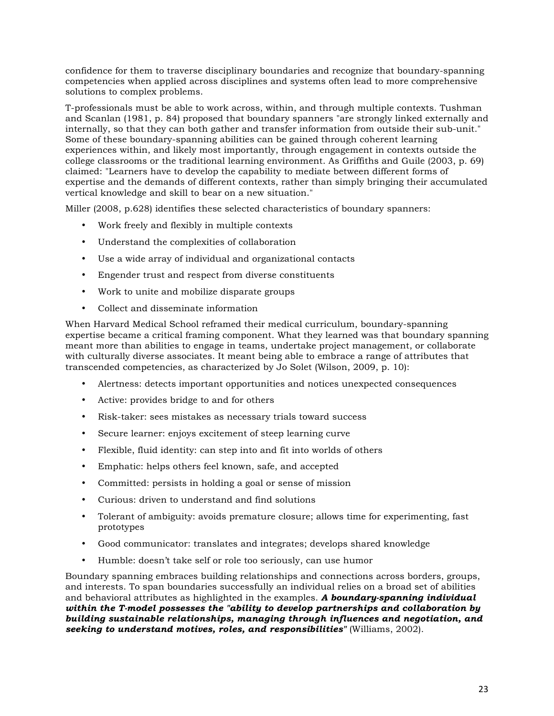confidence for them to traverse disciplinary boundaries and recognize that boundary-spanning competencies when applied across disciplines and systems often lead to more comprehensive solutions to complex problems.

T-professionals must be able to work across, within, and through multiple contexts. Tushman and Scanlan (1981, p. 84) proposed that boundary spanners "are strongly linked externally and internally, so that they can both gather and transfer information from outside their sub-unit." Some of these boundary-spanning abilities can be gained through coherent learning experiences within, and likely most importantly, through engagement in contexts outside the college classrooms or the traditional learning environment. As Griffiths and Guile (2003, p. 69) claimed: "Learners have to develop the capability to mediate between different forms of expertise and the demands of different contexts, rather than simply bringing their accumulated vertical knowledge and skill to bear on a new situation."

Miller (2008, p.628) identifies these selected characteristics of boundary spanners:

- Work freely and flexibly in multiple contexts
- Understand the complexities of collaboration
- Use a wide array of individual and organizational contacts
- Engender trust and respect from diverse constituents
- Work to unite and mobilize disparate groups
- Collect and disseminate information

When Harvard Medical School reframed their medical curriculum, boundary-spanning expertise became a critical framing component. What they learned was that boundary spanning meant more than abilities to engage in teams, undertake project management, or collaborate with culturally diverse associates. It meant being able to embrace a range of attributes that transcended competencies, as characterized by Jo Solet (Wilson, 2009, p. 10):

- Alertness: detects important opportunities and notices unexpected consequences
- Active: provides bridge to and for others
- Risk-taker: sees mistakes as necessary trials toward success
- Secure learner: enjoys excitement of steep learning curve
- Flexible, fluid identity: can step into and fit into worlds of others
- Emphatic: helps others feel known, safe, and accepted
- Committed: persists in holding a goal or sense of mission
- Curious: driven to understand and find solutions
- Tolerant of ambiguity: avoids premature closure; allows time for experimenting, fast prototypes
- Good communicator: translates and integrates; develops shared knowledge
- Humble: doesn't take self or role too seriously, can use humor

Boundary spanning embraces building relationships and connections across borders, groups, and interests. To span boundaries successfully an individual relies on a broad set of abilities and behavioral attributes as highlighted in the examples. *A boundary-spanning individual within the T-model possesses the "ability to develop partnerships and collaboration by building sustainable relationships, managing through influences and negotiation, and seeking to understand motives, roles, and responsibilities"* (Williams, 2002).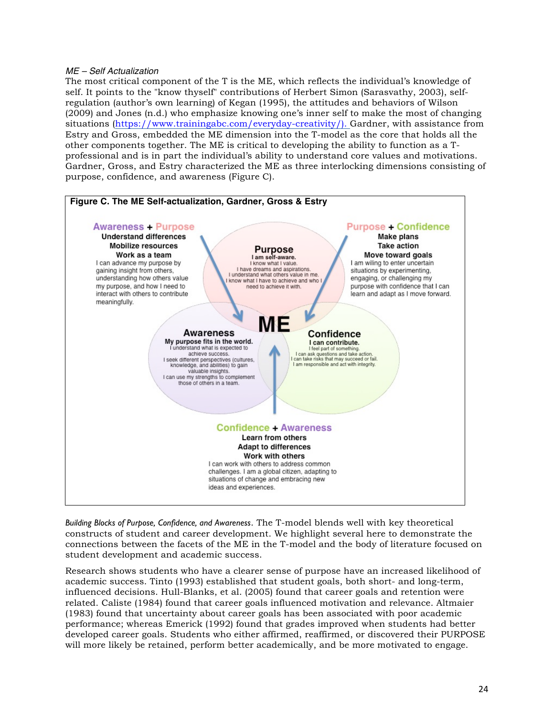#### *ME – Self Actualization*

The most critical component of the T is the ME, which reflects the individual's knowledge of self. It points to the "know thyself" contributions of Herbert Simon (Sarasvathy, 2003), selfregulation (author's own learning) of Kegan (1995), the attitudes and behaviors of Wilson (2009) and Jones (n.d.) who emphasize knowing one's inner self to make the most of changing situations (https://www.trainingabc.com/everyday-creativity/). Gardner, with assistance from Estry and Gross, embedded the ME dimension into the T-model as the core that holds all the other components together. The ME is critical to developing the ability to function as a Tprofessional and is in part the individual's ability to understand core values and motivations. Gardner, Gross, and Estry characterized the ME as three interlocking dimensions consisting of purpose, confidence, and awareness (Figure C).



*Building Blocks of Purpose, Confidence, and Awareness*. The T-model blends well with key theoretical constructs of student and career development. We highlight several here to demonstrate the connections between the facets of the ME in the T-model and the body of literature focused on student development and academic success.

Research shows students who have a clearer sense of purpose have an increased likelihood of academic success. Tinto (1993) established that student goals, both short- and long-term, influenced decisions. Hull-Blanks, et al. (2005) found that career goals and retention were related. Caliste (1984) found that career goals influenced motivation and relevance. Altmaier (1983) found that uncertainty about career goals has been associated with poor academic performance; whereas Emerick (1992) found that grades improved when students had better developed career goals. Students who either affirmed, reaffirmed, or discovered their PURPOSE will more likely be retained, perform better academically, and be more motivated to engage.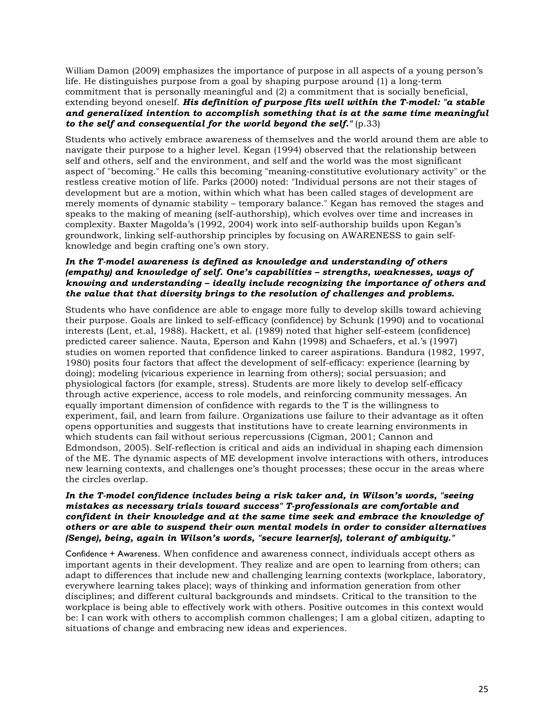William Damon (2009) emphasizes the importance of purpose in all aspects of a young person's life. He distinguishes purpose from a goal by shaping purpose around (1) a long-term commitment that is personally meaningful and (2) a commitment that is socially beneficial, extending beyond oneself. *His definition of purpose fits well within the T-model: "a stable and generalized intention to accomplish something that is at the same time meaningful to the self and consequential for the world beyond the self."* (p.33)

Students who actively embrace awareness of themselves and the world around them are able to navigate their purpose to a higher level. Kegan (1994) observed that the relationship between self and others, self and the environment, and self and the world was the most significant aspect of "becoming." He calls this becoming "meaning-constitutive evolutionary activity" or the restless creative motion of life. Parks (2000) noted: "Individual persons are not their stages of development but are a motion, within which what has been called stages of development are merely moments of dynamic stability – temporary balance." Kegan has removed the stages and speaks to the making of meaning (self-authorship), which evolves over time and increases in complexity. Baxter Magolda's (1992, 2004) work into self-authorship builds upon Kegan's groundwork, linking self-authorship principles by focusing on AWARENESS to gain selfknowledge and begin crafting one's own story.

# *In the T-model awareness is defined as knowledge and understanding of others (empathy) and knowledge of self. One's capabilities – strengths, weaknesses, ways of knowing and understanding – ideally include recognizing the importance of others and the value that that diversity brings to the resolution of challenges and problems***.**

Students who have confidence are able to engage more fully to develop skills toward achieving their purpose. Goals are linked to self-efficacy (confidence) by Schunk (1990) and to vocational interests (Lent, et.al, 1988). Hackett, et al. (1989) noted that higher self-esteem (confidence) predicted career salience. Nauta, Eperson and Kahn (1998) and Schaefers, et al.'s (1997) studies on women reported that confidence linked to career aspirations. Bandura (1982, 1997, 1980) posits four factors that affect the development of self-efficacy: experience (learning by doing); modeling (vicarious experience in learning from others); social persuasion; and physiological factors (for example, stress). Students are more likely to develop self-efficacy through active experience, access to role models, and reinforcing community messages. An equally important dimension of confidence with regards to the T is the willingness to experiment, fail, and learn from failure. Organizations use failure to their advantage as it often opens opportunities and suggests that institutions have to create learning environments in which students can fail without serious repercussions (Cigman, 2001; Cannon and Edmondson, 2005). Self-reflection is critical and aids an individual in shaping each dimension of the ME. The dynamic aspects of ME development involve interactions with others, introduces new learning contexts, and challenges one's thought processes; these occur in the areas where the circles overlap.

# *In the T-model confidence includes being a risk taker and, in Wilson's words, "seeing mistakes as necessary trials toward success" T-professionals are comfortable and confident in their knowledge and at the same time seek and embrace the knowledge of others or are able to suspend their own mental models in order to consider alternatives (Senge), being, again in Wilson's words, "secure learner[s], tolerant of ambiquity."*

Confidence + Awareness. When confidence and awareness connect, individuals accept others as important agents in their development. They realize and are open to learning from others; can adapt to differences that include new and challenging learning contexts (workplace, laboratory, everywhere learning takes place); ways of thinking and information generation from other disciplines; and different cultural backgrounds and mindsets. Critical to the transition to the workplace is being able to effectively work with others. Positive outcomes in this context would be: I can work with others to accomplish common challenges; I am a global citizen, adapting to situations of change and embracing new ideas and experiences.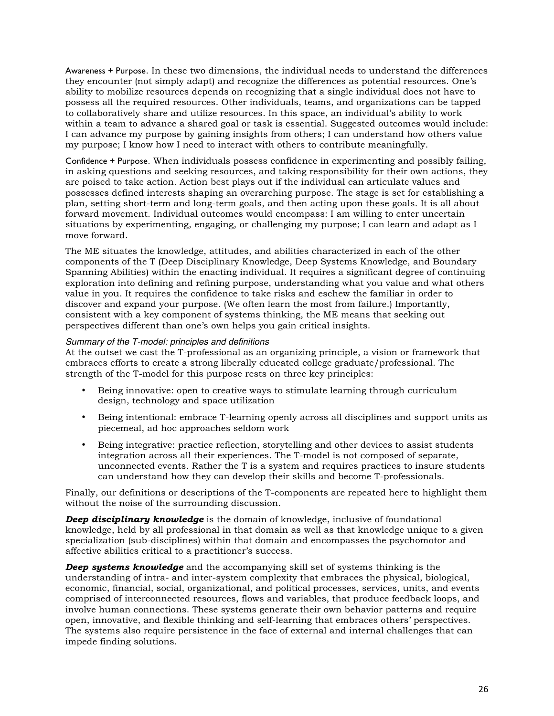Awareness + Purpose. In these two dimensions, the individual needs to understand the differences they encounter (not simply adapt) and recognize the differences as potential resources. One's ability to mobilize resources depends on recognizing that a single individual does not have to possess all the required resources. Other individuals, teams, and organizations can be tapped to collaboratively share and utilize resources. In this space, an individual's ability to work within a team to advance a shared goal or task is essential. Suggested outcomes would include: I can advance my purpose by gaining insights from others; I can understand how others value my purpose; I know how I need to interact with others to contribute meaningfully.

Confidence + Purpose. When individuals possess confidence in experimenting and possibly failing, in asking questions and seeking resources, and taking responsibility for their own actions, they are poised to take action. Action best plays out if the individual can articulate values and possesses defined interests shaping an overarching purpose. The stage is set for establishing a plan, setting short-term and long-term goals, and then acting upon these goals. It is all about forward movement. Individual outcomes would encompass: I am willing to enter uncertain situations by experimenting, engaging, or challenging my purpose; I can learn and adapt as I move forward.

The ME situates the knowledge, attitudes, and abilities characterized in each of the other components of the T (Deep Disciplinary Knowledge, Deep Systems Knowledge, and Boundary Spanning Abilities) within the enacting individual. It requires a significant degree of continuing exploration into defining and refining purpose, understanding what you value and what others value in you. It requires the confidence to take risks and eschew the familiar in order to discover and expand your purpose. (We often learn the most from failure.) Importantly, consistent with a key component of systems thinking, the ME means that seeking out perspectives different than one's own helps you gain critical insights.

# *Summary of the T-model: principles and definitions*

At the outset we cast the T-professional as an organizing principle, a vision or framework that embraces efforts to create a strong liberally educated college graduate/professional. The strength of the T-model for this purpose rests on three key principles:

- Being innovative: open to creative ways to stimulate learning through curriculum design, technology and space utilization
- Being intentional: embrace T-learning openly across all disciplines and support units as piecemeal, ad hoc approaches seldom work
- Being integrative: practice reflection, storytelling and other devices to assist students integration across all their experiences. The T-model is not composed of separate, unconnected events. Rather the T is a system and requires practices to insure students can understand how they can develop their skills and become T-professionals.

Finally, our definitions or descriptions of the T-components are repeated here to highlight them without the noise of the surrounding discussion.

*Deep disciplinary knowledge* is the domain of knowledge, inclusive of foundational knowledge, held by all professional in that domain as well as that knowledge unique to a given specialization (sub-disciplines) within that domain and encompasses the psychomotor and affective abilities critical to a practitioner's success.

*Deep systems knowledge* and the accompanying skill set of systems thinking is the understanding of intra- and inter-system complexity that embraces the physical, biological, economic, financial, social, organizational, and political processes, services, units, and events comprised of interconnected resources, flows and variables, that produce feedback loops, and involve human connections. These systems generate their own behavior patterns and require open, innovative, and flexible thinking and self-learning that embraces others' perspectives. The systems also require persistence in the face of external and internal challenges that can impede finding solutions.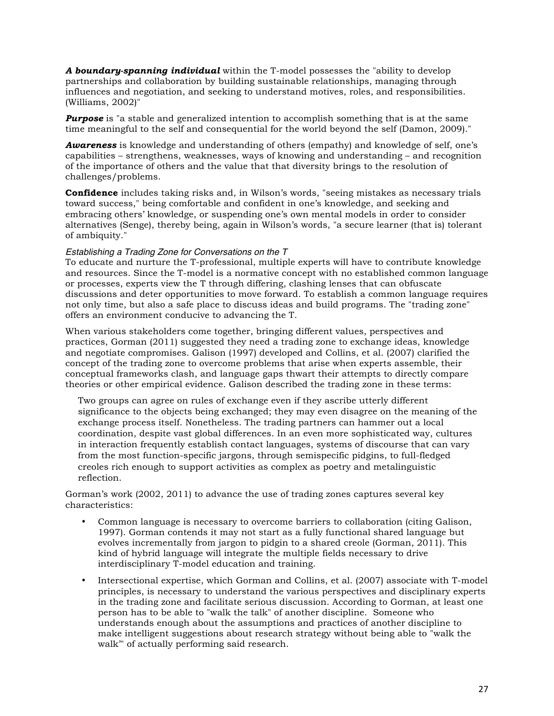*A boundary-spanning individual* within the T-model possesses the "ability to develop partnerships and collaboration by building sustainable relationships, managing through influences and negotiation, and seeking to understand motives, roles, and responsibilities. (Williams, 2002)"

*Purpose* is "a stable and generalized intention to accomplish something that is at the same time meaningful to the self and consequential for the world beyond the self (Damon, 2009)."

*Awareness* is knowledge and understanding of others (empathy) and knowledge of self, one's capabilities – strengthens, weaknesses, ways of knowing and understanding – and recognition of the importance of others and the value that that diversity brings to the resolution of challenges/problems.

**Confidence** includes taking risks and, in Wilson's words, "seeing mistakes as necessary trials toward success," being comfortable and confident in one's knowledge, and seeking and embracing others' knowledge, or suspending one's own mental models in order to consider alternatives (Senge), thereby being, again in Wilson's words, "a secure learner (that is) tolerant of ambiquity."

# *Establishing a Trading Zone for Conversations on the T*

To educate and nurture the T-professional, multiple experts will have to contribute knowledge and resources. Since the T-model is a normative concept with no established common language or processes, experts view the T through differing, clashing lenses that can obfuscate discussions and deter opportunities to move forward. To establish a common language requires not only time, but also a safe place to discuss ideas and build programs. The "trading zone" offers an environment conducive to advancing the T.

When various stakeholders come together, bringing different values, perspectives and practices, Gorman (2011) suggested they need a trading zone to exchange ideas, knowledge and negotiate compromises. Galison (1997) developed and Collins, et al. (2007) clarified the concept of the trading zone to overcome problems that arise when experts assemble, their conceptual frameworks clash, and language gaps thwart their attempts to directly compare theories or other empirical evidence. Galison described the trading zone in these terms:

Two groups can agree on rules of exchange even if they ascribe utterly different significance to the objects being exchanged; they may even disagree on the meaning of the exchange process itself. Nonetheless. The trading partners can hammer out a local coordination, despite vast global differences. In an even more sophisticated way, cultures in interaction frequently establish contact languages, systems of discourse that can vary from the most function-specific jargons, through semispecific pidgins, to full-fledged creoles rich enough to support activities as complex as poetry and metalinguistic reflection.

Gorman's work (2002, 2011) to advance the use of trading zones captures several key characteristics:

- Common language is necessary to overcome barriers to collaboration (citing Galison, 1997). Gorman contends it may not start as a fully functional shared language but evolves incrementally from jargon to pidgin to a shared creole (Gorman, 2011). This kind of hybrid language will integrate the multiple fields necessary to drive interdisciplinary T-model education and training.
- Intersectional expertise, which Gorman and Collins, et al. (2007) associate with T-model principles, is necessary to understand the various perspectives and disciplinary experts in the trading zone and facilitate serious discussion. According to Gorman, at least one person has to be able to "walk the talk" of another discipline. Someone who understands enough about the assumptions and practices of another discipline to make intelligent suggestions about research strategy without being able to "walk the walk'" of actually performing said research.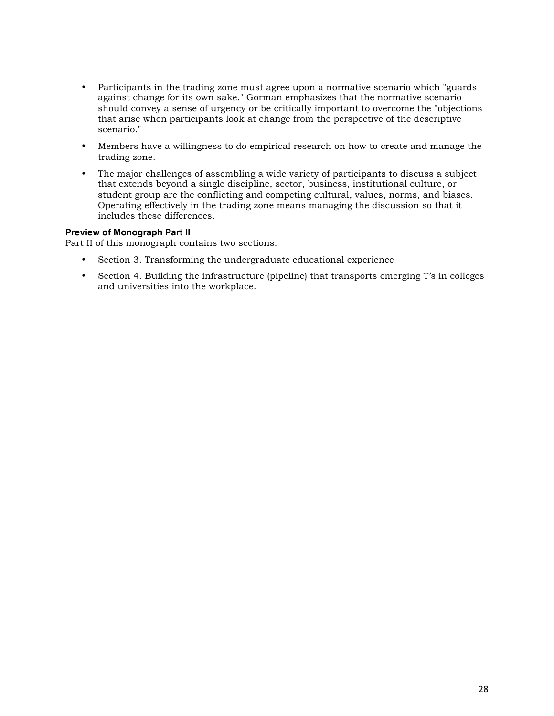- Participants in the trading zone must agree upon a normative scenario which "guards against change for its own sake." Gorman emphasizes that the normative scenario should convey a sense of urgency or be critically important to overcome the "objections that arise when participants look at change from the perspective of the descriptive scenario."
- Members have a willingness to do empirical research on how to create and manage the trading zone.
- The major challenges of assembling a wide variety of participants to discuss a subject that extends beyond a single discipline, sector, business, institutional culture, or student group are the conflicting and competing cultural, values, norms, and biases. Operating effectively in the trading zone means managing the discussion so that it includes these differences.

# **Preview of Monograph Part II**

Part II of this monograph contains two sections:

- Section 3. Transforming the undergraduate educational experience
- Section 4. Building the infrastructure (pipeline) that transports emerging T's in colleges and universities into the workplace.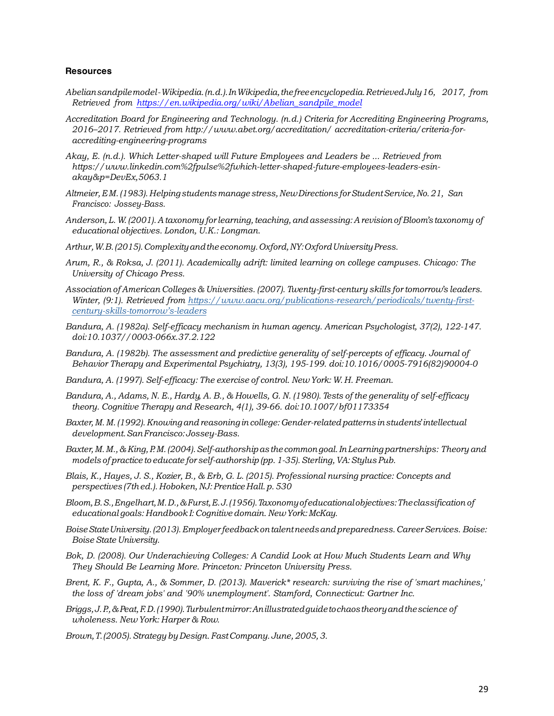#### **Resources**

- *Abeliansandpilemodel-Wikipedia.(n.d.).InWikipedia,thefreeencyclopedia.RetrievedJuly16, 2017, from Retrieved from https://en.wikipedia.org/wiki/Abelian\_sandpile\_model*
- *Accreditation Board for Engineering and Technology. (n.d.) Criteria for Accrediting Engineering Programs, 2016–2017. Retrieved from http://www.abet.org/accreditation/ accreditation-criteria/criteria-foraccrediting-engineering-programs*
- *Akay, E. (n.d.). Which Letter-shaped will Future Employees and Leaders be ... Retrieved from https://www.linkedin.com%2fpulse%2fwhich-letter-shaped-future-employees-leaders-esinakay&p=DevEx,5063.1*
- *Altmeier,E M.(1983). Helping studentsmanage stress,NewDirections forStudentService,No.21, San Francisco: Jossey-Bass.*
- *Anderson, L.W. (2001). A taxonomy for learning,teaching,andassessing: A revision of Bloom's taxonomy of educational objectives. London, U.K.: Longman.*
- *Arthur,W.B.(2015).Complexityandtheeconomy.Oxford,NY:OxfordUniversityPress.*
- *Arum, R., & Roksa, J. (2011). Academically adrift: limited learning on college campuses. Chicago: The University of Chicago Press.*
- *Association of American Colleges & Universities. (2007). Twenty-first-century skills for tomorrow's leaders. Winter, (9:1). Retrieved from https://www.aacu.org/publications-research/periodicals/twenty-firstcentury-skills-tomorrow's-leaders*
- *Bandura, A. (1982a). Self-efficacy mechanism in human agency. American Psychologist, 37(2), 122-147. doi:10.1037//0003-066x.37.2.122*
- *Bandura, A. (1982b). The assessment and predictive generality of self-percepts of efficacy. Journal of Behavior Therapy and Experimental Psychiatry, 13(3), 195-199. doi:10.1016/0005-7916(82)90004-0*
- *Bandura, A. (1997). Self-efficacy: The exercise of control. New York: W. H. Freeman.*
- Bandura, A., Adams, N. E., Hardy, A. B., & Howells, G. N. (1980). Tests of the generality of self-efficacy *theory. Cognitive Therapy and Research, 4(1), 39-66. doi:10.1007/bf01173354*
- *Baxter,M.M.(1992).Knowingandreasoning incollege:Gender-relatedpatterns instudents' intellectual development.SanFrancisco:Jossey-Bass.*
- *Baxter,M.M.,& King,P.M.(2004).Self-authorshipas the commongoal.InLearningpartnerships: Theory and models of practice to educate for self-authorship (pp. 1-35). Sterling,VA:Stylus Pub.*
- *Blais, K., Hayes, J. S., Kozier, B., & Erb, G. L. (2015). Professional nursing practice: Concepts and perspectives (7thed.). Hoboken, NJ:Prentice Hall.p.530*
- *Bloom,B.S.,Engelhart,M.D.,&Furst,E.J.(1956).Taxonomyofeducationalobjectives:Theclassification of educational goals: Handbook I: Cognitive domain. NewYork:McKay.*
- *BoiseStateUniversity.(2013).Employer feedbackontalentneedsandpreparedness.CareerServices. Boise: Boise State University.*
- *Bok, D. (2008). Our Underachieving Colleges: A Candid Look at How Much Students Learn and Why They Should Be Learning More. Princeton: Princeton University Press.*
- *Brent, K. F., Gupta, A., & Sommer, D. (2013). Maverick\* research: surviving the rise of 'smart machines,' the loss of 'dream jobs' and '90% unemployment'. Stamford, Connecticut: Gartner Inc.*
- *Briggs,J.P.,&Peat,F.D.(1990).Turbulentmirror:Anillustratedguidetochaostheoryandthescience of wholeness. New York: Harper & Row.*
- *Brown,T.(2005).Strategy by Design.FastCompany. June, 2005,3.*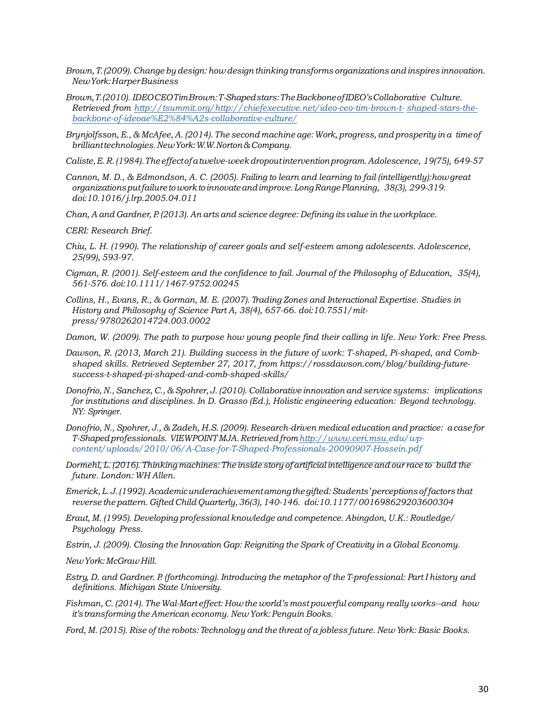- *Brown,T.(2009). Change by design: howdesign thinking transforms organizations and inspires innovation. NewYork:HarperBusiness*
- *Brown,T.(2010). IDEOCEOTimBrown:T-Shapedstars:TheBackboneofIDEO'sCollaborative Culture. Retrieved from http://tsummit.org/http://chiefexecutive.net/ideo-ceo-tim-brown-t- shaped-stars-thebackbone-of-ideoae%E2%84%A2s-collaborative-culture/*
- *Brynjolfsson, E., & McAfee, A. (2014). The second machine age:Work, progress, and prosperity in a timeof brillianttechnologies.NewYork:W.W.Norton&Company.*
- *Caliste,E.R.(1984).Theeffectofatwelve-weekdropoutinterventionprogram.Adolescence, 19(75), 649-57*
- *Cannon, M. D., & Edmondson, A. C. (2005). Failing to learn and learning to fail (intelligently):howgreat organizationsputfailuretoworktoinnovateandimprove.LongRangePlanning, 38(3), 299-319. doi:10.1016/j.lrp.2005.04.011*
- *Chan, A and Gardner, P. (2013). An arts and science degree: Defining its value in the workplace.*

*CERI: Research Brief.*

- *Chiu, L. H. (1990). The relationship of career goals and self-esteem among adolescents. Adolescence, 25(99), 593-97.*
- *Cigman, R. (2001). Self-esteem and the confidence to fail. Journal of the Philosophy of Education, 35(4), 561-576. doi:10.1111/1467-9752.00245*
- *Collins, H., Evans, R., & Gorman, M. E. (2007). Trading Zones and Interactional Expertise. Studies in History and Philosophy of Science Part A, 38(4), 657-66. doi:10.7551/mitpress/9780262014724.003.0002*
- *Damon, W. (2009). The path to purpose how young people find their calling in life. New York: Free Press.*
- *Dawson, R. (2013, March 21). Building success in the future of work: T-shaped, Pi-shaped, and Combshaped skills. Retrieved September 27, 2017, from https://rossdawson.com/blog/building-futuresuccess-t-shaped-pi-shaped-and-comb-shaped-skills/*
- *Donofrio, N., Sanchez, C., & Spohrer, J. (2010). Collaborative innovation and service systems: implications for institutions and disciplines. In D. Grasso (Ed.), Holistic engineering education: Beyond technology. NY: Springer.*
- *Donofrio, N., Spohrer, J., & Zadeh, H.S. (2009). Research-driven medical education and practice: acase for T-Shapedprofessionals. VIEWPOINT MJA. Retrievedfromhttp://www.ceri.msu.edu/wpcontent/uploads/2010/06/A-Case-for-T-Shaped-Professionals-20090907-Hossein.pdf*
- Dormehl, L. (2016). Thinking machines: The inside story of artificial intelligence and our race to build the *future. London: WH Allen.*
- *Emerick,L.J.(1992).Academicunderachievementamongthe gifted:Students'perceptions offactors that reverse the pattern. Gifted Child Quarterly,36(3),140-146. doi:10.1177/001698629203600304*
- *Eraut, M. (1995). Developing professional knowledge and competence. Abingdon, U.K.: Routledge/ Psychology Press.*
- *Estrin, J. (2009). Closing the Innovation Gap: Reigniting the Spark of Creativity in a Global Economy.*

*NewYork:McGrawHill.*

- *Estry, D. and Gardner. P. (forthcoming). Introducing the metaphor of the T-professional: Part I history and definitions. Michigan State University.*
- *Fishman, C. (2014). TheWal-Mart effect: How the world's most powerful company really works--and how it's transforming the American economy. NewYork: Penguin Books.*
- Ford, M. (2015). Rise of the robots: Technology and the threat of a jobless future. New York: Basic Books.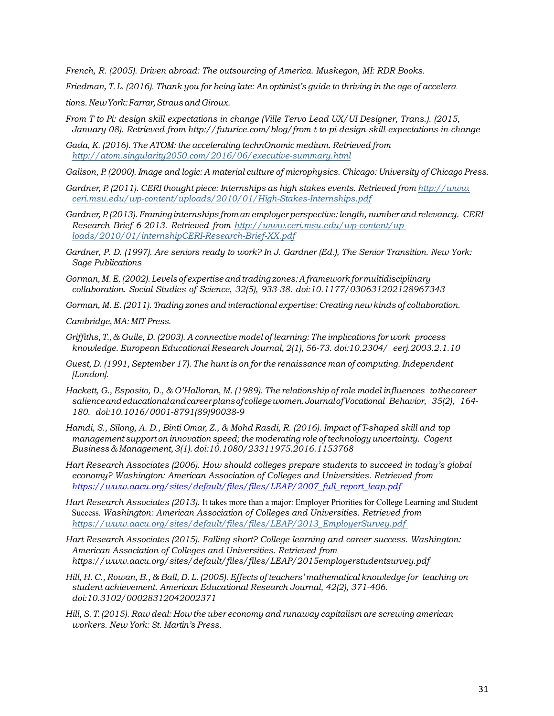*French, R. (2005). Driven abroad: The outsourcing of America. Muskegon, MI: RDR Books.*

Friedman, T. L. (2016). Thank you for being late: An optimist's guide to thriving in the age of accelera

*tions.NewYork:Farrar,StrausandGiroux.*

- *From T to Pi: design skill expectations in change (Ville Tervo Lead UX/UI Designer, Trans.). (2015, January 08). Retrieved from http://futurice.com/blog/from-t-to-pi-design-skill-expectations-in-change*
- *Gada, K. (2016). The ATOM: the accelerating technOnomic medium. Retrieved from http://atom.singularity2050.com/2016/06/executive-summary.html*
- *Galison, P. (2000). Image and logic: A material culture of microphysics. Chicago: University of Chicago Press.*
- *Gardner, P. (2011). CERI thought piece: Internships as high stakes events. Retrieved from http://www. ceri.msu.edu/wp-content/uploads/2010/01/High-Stakes-Internships.pdf*
- *Gardner, P. (2013). Framing internships from an employer perspective: length, number and relevancy. CERI Research Brief 6-2013. Retrieved from http://www.ceri.msu.edu/wp-content/uploads/2010/01/internshipCERI-Research-Brief-XX.pdf*
- *Gardner, P. D. (1997). Are seniors ready to work? In J. Gardner (Ed.), The Senior Transition. New York: Sage Publications*
- *Gorman,M.E.(2002).Levels of expertiseandtrading zones:A frameworkformultidisciplinary collaboration. Social Studies of Science, 32(5), 933-38. doi:10.1177/030631202128967343*
- *Gorman, M. E. (2011). Trading zones and interactional expertise: Creating new kinds of collaboration.*
- *Cambridge,MA: MIT Press.*
- *Griffiths, T., & Guile, D. (2003). A connective model of learning: The implications for work process knowledge. European Educational Research Journal, 2(1), 56-73. doi:10.2304/ eerj.2003.2.1.10*
- *Guest, D. (1991, September 17). The hunt is on for the renaissance man of computing. Independent [London].*
- *Hackett, G., Esposito, D., & O'Halloran, M. (1989). The relationship of role model influences tothecareer salienceandeducationalandcareerplansofcollegewomen.JournalofVocational Behavior, 35(2), 164- 180. doi:10.1016/0001-8791(89)90038-9*
- Hamdi, S., Silong, A. D., Binti Omar, Z., & Mohd Rasdi, R. (2016). Impact of T-shaped skill and top *management support on innovation speed; the moderating role of technology uncertainty. Cogent Business & Management,3(1).doi:10.1080/23311975.2016.1153768*
- *Hart Research Associates (2006). How should colleges prepare students to succeed in today's global economy? Washington: American Association of Colleges and Universities. Retrieved from https://www.aacu.org/sites/default/files/files/LEAP/2007\_full\_report\_leap.pdf*
- *Hart Research Associates (2013).* It takes more than a major: Employer Priorities for College Learning and Student Success*. Washington: American Association of Colleges and Universities. Retrieved from https://www.aacu.org/sites/default/files/files/LEAP/2013\_EmployerSurvey.pdf*
- *Hart Research Associates (2015). Falling short? College learning and career success. Washington: American Association of Colleges and Universities. Retrieved from https://www.aacu.org/sites/default/files/files/LEAP/2015employerstudentsurvey.pdf*
- Hill, H. C., Rowan, B., & Ball, D. L. (2005). Effects of teachers' mathematical knowledge for teaching on *student achievement. American Educational Research Journal, 42(2), 371-406. doi:10.3102/00028312042002371*
- *Hill, S. T.(2015). Raw deal: How the uber economy and runaway capitalism are screwing american workers. New York: St. Martin's Press.*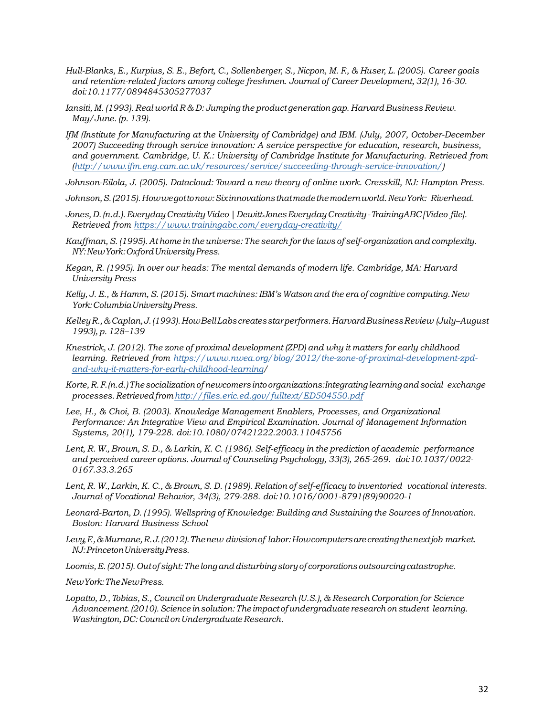- Hull-Blanks, E., Kurpius, S. E., Befort, C., Sollenberger, S., Nicpon, M. F., & Huser, L. (2005). Career goals *and retention-related factors among college freshmen. Journal of Career Development, 32(1), 16-30. doi:10.1177/0894845305277037*
- *Iansiti, M. (1993). Real world R & D: Jumping the product generation gap. Harvard Business Review. May/June. (p. 139).*
- *IfM (Institute for Manufacturing at the University of Cambridge) and IBM. (July, 2007, October-December 2007) Succeeding through service innovation: A service perspective for education, research, business, and government. Cambridge, U. K.: University of Cambridge Institute for Manufacturing. Retrieved from (http://www.ifm.eng.cam.ac.uk/resources/service/succeeding-through-service-innovation/)*
- *Johnson-Eilola, J. (2005). Datacloud: Toward a new theory of online work. Cresskill, NJ: Hampton Press.*
- *Johnson,S.(2015).Howwegottonow:Sixinnovationsthatmadethemodernworld.NewYork: Riverhead.*
- *Jones,D.(n.d.).EverydayCreativityVideo|DewittJonesEverydayCreativity-TrainingABC[Video file]. Retrieved from https://www.trainingabc.com/everyday-creativity/*
- *Kauffman, S. (1995). Athome in the universe: The search for the laws of self-organization and complexity. NY:NewYork:OxfordUniversityPress.*
- *Kegan, R. (1995). In over our heads: The mental demands of modern life. Cambridge, MA: Harvard University Press*
- *Kelly, J. E., & Hamm, S. (2015). Smart machines: IBM's Watson and the era of cognitive computing.New York:ColumbiaUniversityPress.*
- *KelleyR.,&Caplan,J.(1993).HowBellLabscreatesstarperformers.HarvardBusinessReview (July–August 1993), p. 128–139*
- *Knestrick, J. (2012). The zone of proximal development (ZPD) and why it matters for early childhood learning. Retrieved from https://www.nwea.org/blog/2012/the-zone-of-proximal-development-zpdand-why-it-matters-for-early-childhood-learning/*
- *Korte,R.F.(n.d.)The socializationofnewcomers into organizations:Integrating learningandsocial exchange processes.Retrievedfromhttp://files.eric.ed.gov/fulltext/ED504550.pdf*
- *Lee, H., & Choi, B. (2003). Knowledge Management Enablers, Processes, and Organizational Performance: An Integrative View and Empirical Examination. Journal of Management Information Systems, 20(1), 179-228. doi:10.1080/07421222.2003.11045756*
- Lent, R. W., Brown, S. D., & Larkin, K. C. (1986). Self-efficacy in the prediction of academic performance *and perceived career options. Journal of Counseling Psychology, 33(3), 265-269. doi:10.1037/0022- 0167.33.3.265*
- Lent, R. W., Larkin, K. C., & Brown, S. D. (1989). Relation of self-efficacy to inventoried vocational interests. *Journal of Vocational Behavior, 34(3), 279-288. doi:10.1016/0001-8791(89)90020-1*
- *Leonard-Barton, D. (1995). Wellspring of Knowledge: Building and Sustaining the Sources of Innovation. Boston: Harvard Business School*
- *Levy,F.,&Murnane,R.J.(2012).Thenew divisionof labor:Howcomputersarecreatingthenextjob market. NJ:PrincetonUniversityPress.*
- *Loomis,E.(2015).Outof sight:The longanddisturbing storyof corporations outsourcingcatastrophe.*
- *NewYork:TheNewPress.*
- *Lopatto, D., Tobias, S., Council on Undergraduate Research (U.S.), & Research Corporation for Science Advancement.(2010).Science insolution:The impactof undergraduate researchon student learning. Washington, DC: Council on Undergraduate Research.*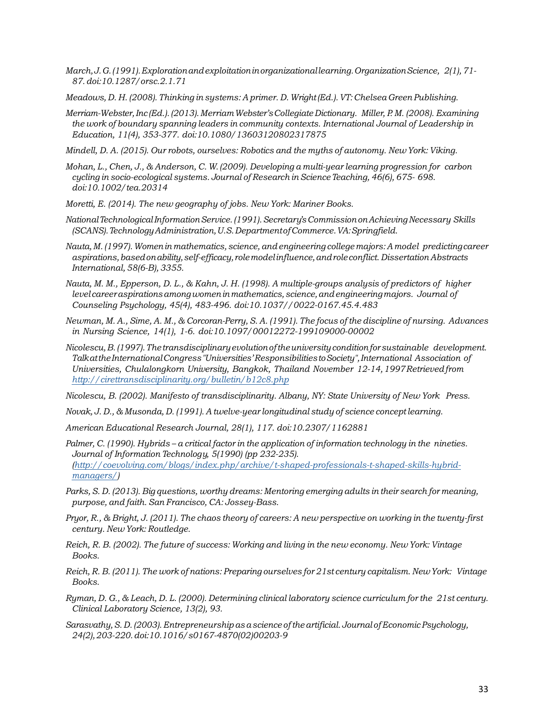- *March,J.G.(1991).Explorationandexploitationinorganizationallearning.OrganizationScience, 2(1),71- 87.doi:10.1287/orsc.2.1.71*
- *Meadows, D. H. (2008). Thinking in systems: A primer. D. Wright(Ed.).VT:Chelsea Green Publishing.*
- *Merriam-Webster,Inc (Ed.).(2013).MerriamWebster'sCollegiateDictionary. Miller, P. M. (2008). Examining the work of boundary spanning leaders in community contexts. International Journal of Leadership in Education, 11(4), 353-377. doi:10.1080/13603120802317875*

*Mindell, D. A. (2015). Our robots, ourselves: Robotics and the myths of autonomy. New York: Viking.*

- *Mohan, L., Chen, J., & Anderson, C. W.(2009). Developing a multi-year learning progression for carbon cycling in socio-ecological systems. Journal of Research in Science Teaching, 46(6), 675- 698. doi:10.1002/tea.20314*
- *Moretti, E. (2014). The new geography of jobs. New York: Mariner Books.*
- *NationalTechnologicalInformationService.(1991).Secretary'sCommissiononAchievingNecessary Skills (SCANS).TechnologyAdministration,U.S.DepartmentofCommerce.VA:Springfield.*
- *Nauta,M. (1997).Womenin mathematics, science, andengineering college majors: A model predictingcareer aspirations,basedonability,self-efficacy, rolemodelinfluence,androleconflict. Dissertation Abstracts International, 58(6-B), 3355.*
- Nauta, M. M., Epperson, D. L., & Kahn, J. H. (1998). A multiple-groups analysis of predictors of higher *level careeraspirationsamongwomeninmathematics,science,andengineeringmajors. Journal of Counseling Psychology, 45(4), 483-496. doi:10.1037//0022-0167.45.4.483*
- Newman, M. A., Sime, A. M., & Corcoran-Perry, S. A. (1991). The focus of the discipline of nursing. Advances *in Nursing Science, 14(1), 1-6. doi:10.1097/00012272-199109000-00002*
- *Nicolescu,B.(1997).Thetransdisciplinaryevolutionoftheuniversityconditionforsustainable development. TalkattheInternationalCongress"Universities'ResponsibilitiestoSociety",International Association of Universities, Chulalongkorn University, Bangkok, Thailand November 12-14,1997Retrievedfrom http://cirettransdisciplinarity.org/bulletin/b12c8.php*

*Nicolescu, B. (2002). Manifesto of transdisciplinarity. Albany, NY: State University of New York Press.*

- *Novak, J. D., & Musonda, D. (1991). A twelve-year longitudinal study of science conceptlearning.*
- *American Educational Research Journal, 28(1), 117. doi:10.2307/1162881*
- Palmer, C. (1990). Hybrids a critical factor in the application of information technology in the nineties. *Journal of Information Technology, 5(1990) (pp 232-235). (http://coevolving.com/blogs/index.php/archive/t-shaped-professionals-t-shaped-skills-hybridmanagers/)*
- *Parks, S. D. (2013). Big questions, worthy dreams: Mentoring emerging adults in their search for meaning, purpose, and faith. San Francisco, CA: Jossey-Bass.*
- Pryor, R., & Bright, J. (2011). The chaos theory of careers: A new perspective on working in the twenty-first *century. New York: Routledge.*
- Reich, R. B. (2002). The future of success: Working and living in the new economy. New York: Vintage *Books.*
- *Reich, R. B. (2011). The work of nations: Preparing ourselves for 21st century capitalism. NewYork: Vintage Books.*
- Ryman, D. G., & Leach, D. L. (2000). Determining clinical laboratory science curriculum for the 21st century. *Clinical Laboratory Science, 13(2), 93.*
- *Sarasvathy,S. D. (2003).Entrepreneurship asascience oftheartificial. Journal ofEconomic Psychology, 24(2),203-220.doi:10.1016/s0167-4870(02)00203-9*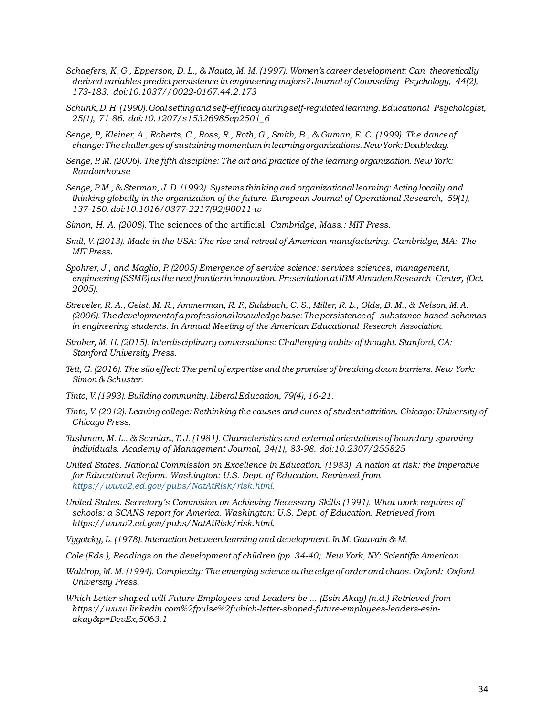- *Schaefers, K. G., Epperson, D. L., & Nauta, M. M. (1997). Women's career development: Can theoretically derived variables predict persistence in engineering majors? Journal of Counseling Psychology, 44(2), 173-183. doi:10.1037//0022-0167.44.2.173*
- *Schunk,D.H.(1990).Goalsettingandself-efficacyduringself-regulatedlearning.Educational Psychologist, 25(1), 71-86. doi:10.1207/s15326985ep2501\_6*
- Senge, P., Kleiner, A., Roberts, C., Ross, R., Roth, G., Smith, B., & Guman, E. C. (1999). The dance of *change:The challenges of sustainingmomentuminlearningorganizations.NewYork:Doubleday.*
- *Senge, P. M. (2006). The fifth discipline: The art and practice of the learning organization. New York: Randomhouse*
- *Senge, P. M., & Sterman, J. D. (1992). Systems thinking and organizational learning: Acting locally and thinking globally in the organization of the future. European Journal of Operational Research, 59(1), 137-150. doi:10.1016/0377-2217(92)90011-w*
- *Simon, H. A. (2008).* The sciences of the artificial*. Cambridge, Mass.: MIT Press.*
- *Smil, V. (2013). Made in the USA: The rise and retreat of American manufacturing. Cambridge, MA: The MIT Press.*
- *Spohrer, J., and Maglio, P. (2005) Emergence of service science: services sciences, management, engineering (SSME)as the nextfrontier in innovation. Presentation atIBM Almaden Research Center, (Oct. 2005).*
- Streveler, R. A., Geist, M. R., Ammerman, R. F., Sulzbach, C. S., Miller, R. L., Olds, B. M., & Nelson, M. A. *(2006).Thedevelopmentofaprofessionalknowledgebase:Thepersistence of substance-based schemas in engineering students. In Annual Meeting of the American Educational Research Association.*
- *Strober, M. H. (2015). Interdisciplinary conversations: Challenging habits of thought. Stanford, CA: Stanford University Press.*
- Tett, G. (2016). The silo effect: The peril of expertise and the promise of breaking down barriers. New York: *Simon & Schuster.*
- *Tinto,V.(1993). Building community. LiberalEducation, 79(4), 16-21.*
- *Tinto, V.(2012). Leaving college: Rethinking the causes and cures of student attrition. Chicago: University of Chicago Press.*
- *Tushman, M. L., & Scanlan, T. J. (1981). Characteristics and external orientations of boundary spanning individuals. Academy of Management Journal, 24(1), 83-98. doi:10.2307/255825*
- *United States. National Commission on Excellence in Education. (1983). A nation at risk: the imperative for Educational Reform. Washington: U.S. Dept. of Education. Retrieved from https://www2.ed.gov/pubs/NatAtRisk/risk.html.*
- *United States. Secretary's Commision on Achieving Necessary Skills (1991). What work requires of schools: a SCANS report for America. Washington: U.S. Dept. of Education. Retrieved from https://www2.ed.gov/pubs/NatAtRisk/risk.html.*
- *Vygotcky, L. (1978). Interaction between learning and development. In M. Gauvain & M.*
- *Cole (Eds.), Readings on the development of children (pp. 34-40). New York, NY: Scientific American.*
- *Waldrop, M. M. (1994). Complexity: The emerging science atthe edge of order and chaos. Oxford: Oxford University Press.*
- *Which Letter-shaped will Future Employees and Leaders be ... (Esin Akay) (n.d.) Retrieved from https://www.linkedin.com%2fpulse%2fwhich-letter-shaped-future-employees-leaders-esinakay&p=DevEx,5063.1*